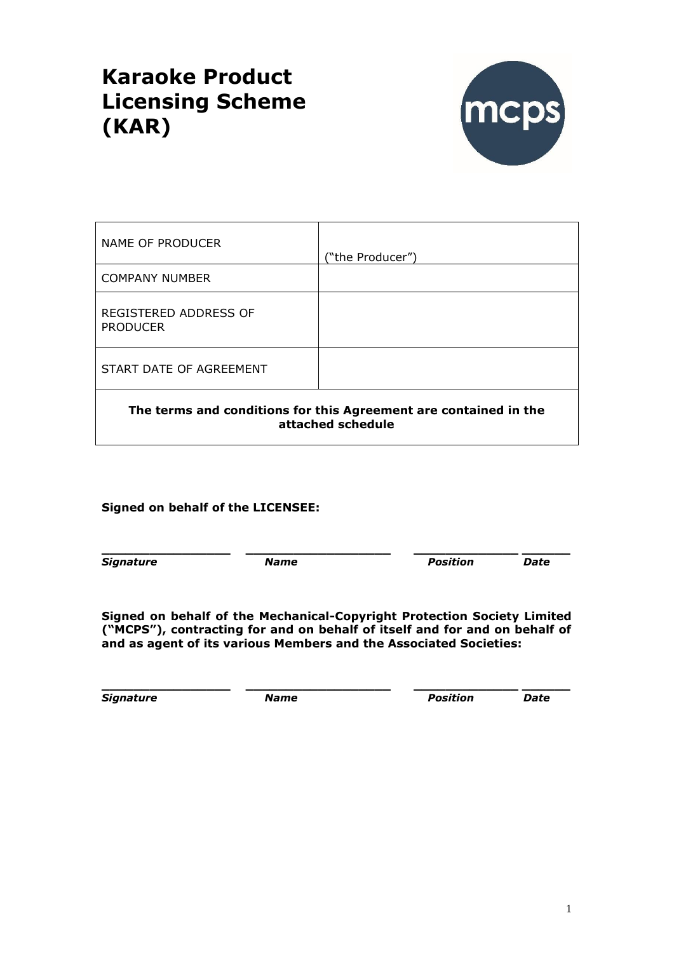# **Karaoke Product Licensing Scheme (KAR)**



| <b>NAME OF PRODUCER</b>                  | ("the Producer")                                                                      |
|------------------------------------------|---------------------------------------------------------------------------------------|
| <b>COMPANY NUMBER</b>                    |                                                                                       |
| REGISTERED ADDRESS OF<br><b>PRODUCER</b> |                                                                                       |
| START DATE OF AGREEMENT                  |                                                                                       |
|                                          | The terms and conditions for this Agreement are contained in the<br>attached schedule |

## **Signed on behalf of the LICENSEE:**

**\_\_\_\_\_\_\_\_\_\_\_\_\_\_\_\_ \_\_\_\_\_\_\_\_\_\_\_\_\_\_\_\_\_\_ \_\_\_\_\_\_\_\_\_\_\_\_\_ \_\_\_\_\_\_** *Signature Name Position Date*

**Signed on behalf of the Mechanical-Copyright Protection Society Limited ("MCPS"), contracting for and on behalf of itself and for and on behalf of and as agent of its various Members and the Associated Societies:**

**\_\_\_\_\_\_\_\_\_\_\_\_\_\_\_\_ \_\_\_\_\_\_\_\_\_\_\_\_\_\_\_\_\_\_ \_\_\_\_\_\_\_\_\_\_\_\_\_ \_\_\_\_\_\_** *Signature Name Position Date*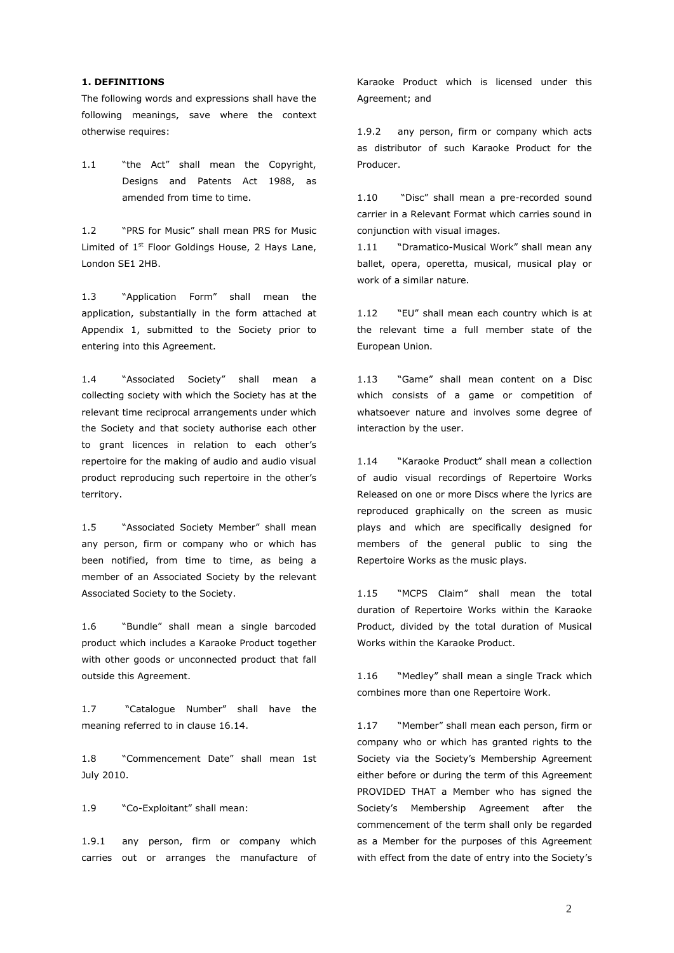#### **1. DEFINITIONS**

The following words and expressions shall have the following meanings, save where the context otherwise requires:

1.1 "the Act" shall mean the Copyright, Designs and Patents Act 1988, as amended from time to time.

1.2 "PRS for Music" shall mean PRS for Music Limited of  $1<sup>st</sup>$  Floor Goldings House, 2 Hays Lane, London SE1 2HB.

1.3 "Application Form" shall mean the application, substantially in the form attached at Appendix 1, submitted to the Society prior to entering into this Agreement.

1.4 "Associated Society" shall mean a collecting society with which the Society has at the relevant time reciprocal arrangements under which the Society and that society authorise each other to grant licences in relation to each other's repertoire for the making of audio and audio visual product reproducing such repertoire in the other's territory.

1.5 "Associated Society Member" shall mean any person, firm or company who or which has been notified, from time to time, as being a member of an Associated Society by the relevant Associated Society to the Society.

1.6 "Bundle" shall mean a single barcoded product which includes a Karaoke Product together with other goods or unconnected product that fall outside this Agreement.

1.7 "Catalogue Number" shall have the meaning referred to in clause 16.14.

1.8 "Commencement Date" shall mean 1st July 2010.

1.9 "Co-Exploitant" shall mean:

1.9.1 any person, firm or company which carries out or arranges the manufacture of Karaoke Product which is licensed under this Agreement; and

1.9.2 any person, firm or company which acts as distributor of such Karaoke Product for the Producer.

1.10 "Disc" shall mean a pre-recorded sound carrier in a Relevant Format which carries sound in conjunction with visual images.

1.11 "Dramatico-Musical Work" shall mean any ballet, opera, operetta, musical, musical play or work of a similar nature.

1.12 "EU" shall mean each country which is at the relevant time a full member state of the European Union.

1.13 "Game" shall mean content on a Disc which consists of a game or competition of whatsoever nature and involves some degree of interaction by the user.

1.14 "Karaoke Product" shall mean a collection of audio visual recordings of Repertoire Works Released on one or more Discs where the lyrics are reproduced graphically on the screen as music plays and which are specifically designed for members of the general public to sing the Repertoire Works as the music plays.

1.15 "MCPS Claim" shall mean the total duration of Repertoire Works within the Karaoke Product, divided by the total duration of Musical Works within the Karaoke Product.

1.16 "Medley" shall mean a single Track which combines more than one Repertoire Work.

1.17 "Member" shall mean each person, firm or company who or which has granted rights to the Society via the Society's Membership Agreement either before or during the term of this Agreement PROVIDED THAT a Member who has signed the Society's Membership Agreement after the commencement of the term shall only be regarded as a Member for the purposes of this Agreement with effect from the date of entry into the Society's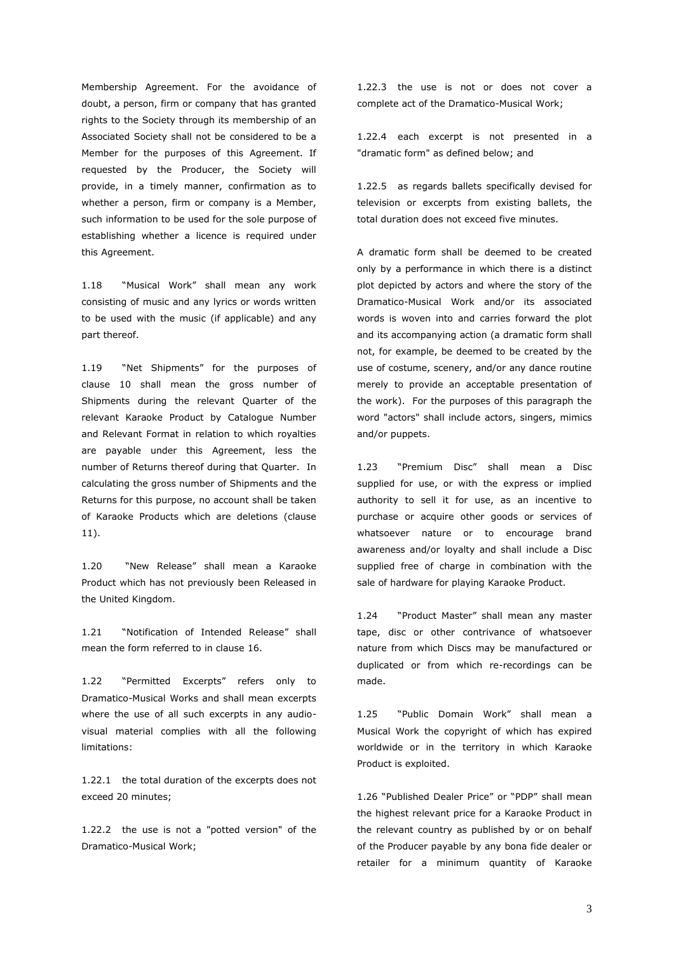Membership Agreement. For the avoidance of doubt, a person, firm or company that has granted rights to the Society through its membership of an Associated Society shall not be considered to be a Member for the purposes of this Agreement. If requested by the Producer, the Society will provide, in a timely manner, confirmation as to whether a person, firm or company is a Member, such information to be used for the sole purpose of establishing whether a licence is required under this Agreement.

1.18 "Musical Work" shall mean any work consisting of music and any lyrics or words written to be used with the music (if applicable) and any part thereof.

1.19 "Net Shipments" for the purposes of clause 10 shall mean the gross number of Shipments during the relevant Quarter of the relevant Karaoke Product by Catalogue Number and Relevant Format in relation to which royalties are payable under this Agreement, less the number of Returns thereof during that Quarter. In calculating the gross number of Shipments and the Returns for this purpose, no account shall be taken of Karaoke Products which are deletions (clause 11).

1.20 "New Release" shall mean a Karaoke Product which has not previously been Released in the United Kingdom.

1.21 "Notification of Intended Release" shall mean the form referred to in clause 16.

1.22 "Permitted Excerpts" refers only to Dramatico-Musical Works and shall mean excerpts where the use of all such excerpts in any audiovisual material complies with all the following limitations:

1.22.1 the total duration of the excerpts does not exceed 20 minutes;

1.22.2 the use is not a "potted version" of the Dramatico-Musical Work;

1.22.3 the use is not or does not cover a complete act of the Dramatico-Musical Work;

1.22.4 each excerpt is not presented in a "dramatic form" as defined below; and

1.22.5 as regards ballets specifically devised for television or excerpts from existing ballets, the total duration does not exceed five minutes.

A dramatic form shall be deemed to be created only by a performance in which there is a distinct plot depicted by actors and where the story of the Dramatico-Musical Work and/or its associated words is woven into and carries forward the plot and its accompanying action (a dramatic form shall not, for example, be deemed to be created by the use of costume, scenery, and/or any dance routine merely to provide an acceptable presentation of the work). For the purposes of this paragraph the word "actors" shall include actors, singers, mimics and/or puppets.

1.23 "Premium Disc" shall mean a Disc supplied for use, or with the express or implied authority to sell it for use, as an incentive to purchase or acquire other goods or services of whatsoever nature or to encourage brand awareness and/or loyalty and shall include a Disc supplied free of charge in combination with the sale of hardware for playing Karaoke Product.

1.24 "Product Master" shall mean any master tape, disc or other contrivance of whatsoever nature from which Discs may be manufactured or duplicated or from which re-recordings can be made.

1.25 "Public Domain Work" shall mean a Musical Work the copyright of which has expired worldwide or in the territory in which Karaoke Product is exploited.

1.26 "Published Dealer Price" or "PDP" shall mean the highest relevant price for a Karaoke Product in the relevant country as published by or on behalf of the Producer payable by any bona fide dealer or retailer for a minimum quantity of Karaoke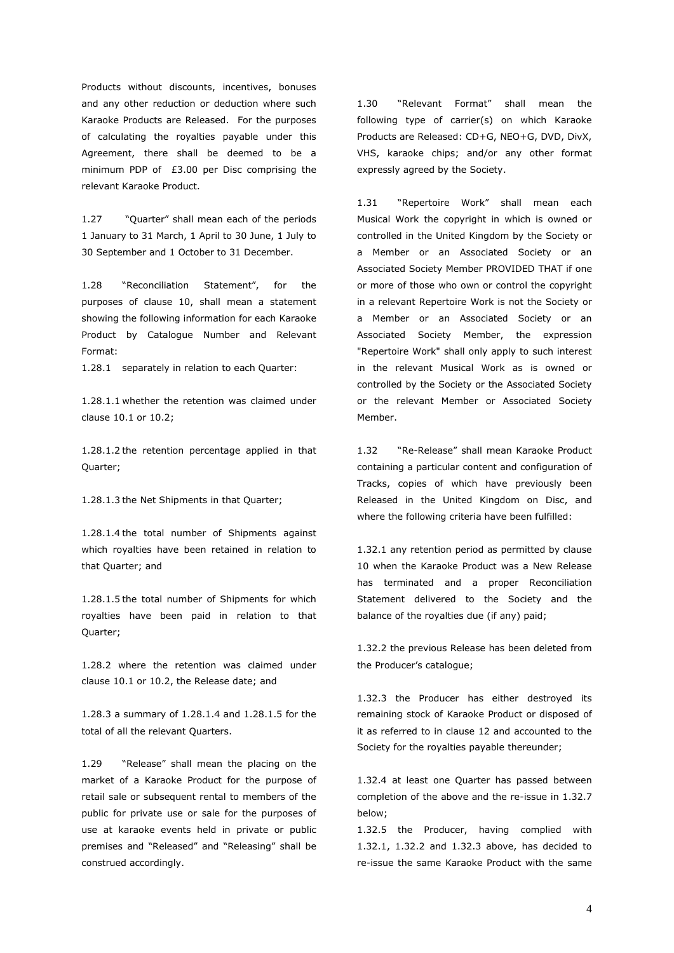Products without discounts, incentives, bonuses and any other reduction or deduction where such Karaoke Products are Released. For the purposes of calculating the royalties payable under this Agreement, there shall be deemed to be a minimum PDP of £3.00 per Disc comprising the relevant Karaoke Product.

1.27 "Quarter" shall mean each of the periods 1 January to 31 March, 1 April to 30 June, 1 July to 30 September and 1 October to 31 December.

1.28 "Reconciliation Statement", for the purposes of clause 10, shall mean a statement showing the following information for each Karaoke Product by Catalogue Number and Relevant Format:

1.28.1 separately in relation to each Quarter:

1.28.1.1 whether the retention was claimed under clause 10.1 or 10.2;

1.28.1.2 the retention percentage applied in that Quarter;

1.28.1.3 the Net Shipments in that Quarter;

1.28.1.4 the total number of Shipments against which royalties have been retained in relation to that Quarter; and

1.28.1.5 the total number of Shipments for which royalties have been paid in relation to that Quarter;

1.28.2 where the retention was claimed under clause 10.1 or 10.2, the Release date; and

1.28.3 a summary of 1.28.1.4 and 1.28.1.5 for the total of all the relevant Quarters.

1.29 "Release" shall mean the placing on the market of a Karaoke Product for the purpose of retail sale or subsequent rental to members of the public for private use or sale for the purposes of use at karaoke events held in private or public premises and "Released" and "Releasing" shall be construed accordingly.

1.30 "Relevant Format" shall mean the following type of carrier(s) on which Karaoke Products are Released: CD+G, NEO+G, DVD, DivX, VHS, karaoke chips; and/or any other format expressly agreed by the Society.

1.31 "Repertoire Work" shall mean each Musical Work the copyright in which is owned or controlled in the United Kingdom by the Society or a Member or an Associated Society or an Associated Society Member PROVIDED THAT if one or more of those who own or control the copyright in a relevant Repertoire Work is not the Society or a Member or an Associated Society or an Associated Society Member, the expression "Repertoire Work" shall only apply to such interest in the relevant Musical Work as is owned or controlled by the Society or the Associated Society or the relevant Member or Associated Society Member.

1.32 "Re-Release" shall mean Karaoke Product containing a particular content and configuration of Tracks, copies of which have previously been Released in the United Kingdom on Disc, and where the following criteria have been fulfilled:

1.32.1 any retention period as permitted by clause 10 when the Karaoke Product was a New Release has terminated and a proper Reconciliation Statement delivered to the Society and the balance of the royalties due (if any) paid;

1.32.2 the previous Release has been deleted from the Producer's catalogue;

1.32.3 the Producer has either destroyed its remaining stock of Karaoke Product or disposed of it as referred to in clause 12 and accounted to the Society for the royalties payable thereunder;

1.32.4 at least one Quarter has passed between completion of the above and the re-issue in 1.32.7 below;

1.32.5 the Producer, having complied with 1.32.1, 1.32.2 and 1.32.3 above, has decided to re-issue the same Karaoke Product with the same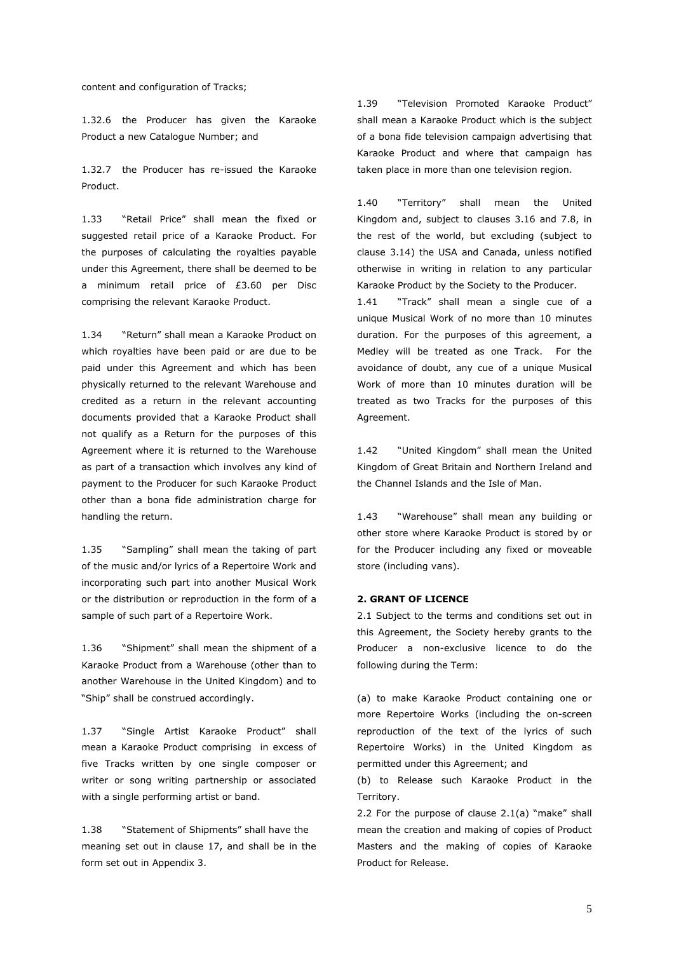content and configuration of Tracks;

1.32.6 the Producer has given the Karaoke Product a new Catalogue Number; and

1.32.7 the Producer has re-issued the Karaoke Product.

1.33 "Retail Price" shall mean the fixed or suggested retail price of a Karaoke Product. For the purposes of calculating the royalties payable under this Agreement, there shall be deemed to be a minimum retail price of £3.60 per Disc comprising the relevant Karaoke Product.

1.34 "Return" shall mean a Karaoke Product on which royalties have been paid or are due to be paid under this Agreement and which has been physically returned to the relevant Warehouse and credited as a return in the relevant accounting documents provided that a Karaoke Product shall not qualify as a Return for the purposes of this Agreement where it is returned to the Warehouse as part of a transaction which involves any kind of payment to the Producer for such Karaoke Product other than a bona fide administration charge for handling the return.

1.35 "Sampling" shall mean the taking of part of the music and/or lyrics of a Repertoire Work and incorporating such part into another Musical Work or the distribution or reproduction in the form of a sample of such part of a Repertoire Work.

1.36 "Shipment" shall mean the shipment of a Karaoke Product from a Warehouse (other than to another Warehouse in the United Kingdom) and to "Ship" shall be construed accordingly.

1.37 "Single Artist Karaoke Product" shall mean a Karaoke Product comprising in excess of five Tracks written by one single composer or writer or song writing partnership or associated with a single performing artist or band.

1.38 "Statement of Shipments" shall have the meaning set out in clause 17, and shall be in the form set out in Appendix 3.

1.39 "Television Promoted Karaoke Product" shall mean a Karaoke Product which is the subject of a bona fide television campaign advertising that Karaoke Product and where that campaign has taken place in more than one television region.

1.40 "Territory" shall mean the United Kingdom and, subject to clauses 3.16 and 7.8, in the rest of the world, but excluding (subject to clause 3.14) the USA and Canada, unless notified otherwise in writing in relation to any particular Karaoke Product by the Society to the Producer.

1.41 "Track" shall mean a single cue of a unique Musical Work of no more than 10 minutes duration. For the purposes of this agreement, a Medley will be treated as one Track. For the avoidance of doubt, any cue of a unique Musical Work of more than 10 minutes duration will be treated as two Tracks for the purposes of this Agreement.

1.42 "United Kingdom" shall mean the United Kingdom of Great Britain and Northern Ireland and the Channel Islands and the Isle of Man.

1.43 "Warehouse" shall mean any building or other store where Karaoke Product is stored by or for the Producer including any fixed or moveable store (including vans).

#### **2. GRANT OF LICENCE**

2.1 Subject to the terms and conditions set out in this Agreement, the Society hereby grants to the Producer a non-exclusive licence to do the following during the Term:

(a) to make Karaoke Product containing one or more Repertoire Works (including the on-screen reproduction of the text of the lyrics of such Repertoire Works) in the United Kingdom as permitted under this Agreement; and

(b) to Release such Karaoke Product in the Territory.

2.2 For the purpose of clause 2.1(a) "make" shall mean the creation and making of copies of Product Masters and the making of copies of Karaoke Product for Release.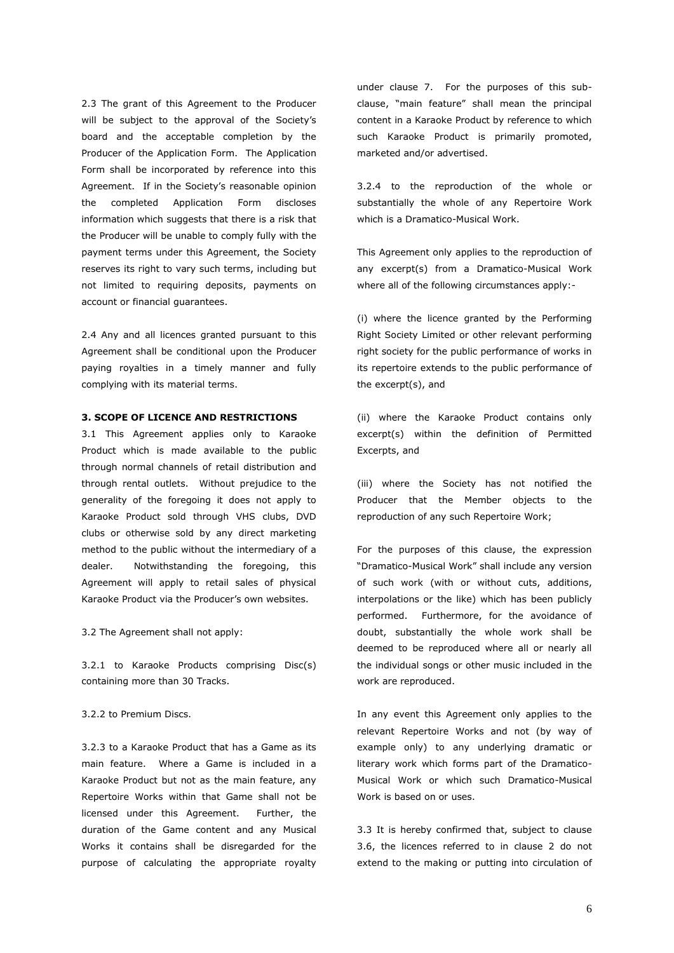2.3 The grant of this Agreement to the Producer will be subject to the approval of the Society's board and the acceptable completion by the Producer of the Application Form. The Application Form shall be incorporated by reference into this Agreement. If in the Society's reasonable opinion the completed Application Form discloses information which suggests that there is a risk that the Producer will be unable to comply fully with the payment terms under this Agreement, the Society reserves its right to vary such terms, including but not limited to requiring deposits, payments on account or financial guarantees.

2.4 Any and all licences granted pursuant to this Agreement shall be conditional upon the Producer paying royalties in a timely manner and fully complying with its material terms.

#### **3. SCOPE OF LICENCE AND RESTRICTIONS**

3.1 This Agreement applies only to Karaoke Product which is made available to the public through normal channels of retail distribution and through rental outlets. Without prejudice to the generality of the foregoing it does not apply to Karaoke Product sold through VHS clubs, DVD clubs or otherwise sold by any direct marketing method to the public without the intermediary of a dealer. Notwithstanding the foregoing, this Agreement will apply to retail sales of physical Karaoke Product via the Producer's own websites.

3.2 The Agreement shall not apply:

3.2.1 to Karaoke Products comprising Disc(s) containing more than 30 Tracks.

#### 3.2.2 to Premium Discs.

3.2.3 to a Karaoke Product that has a Game as its main feature. Where a Game is included in a Karaoke Product but not as the main feature, any Repertoire Works within that Game shall not be licensed under this Agreement. Further, the duration of the Game content and any Musical Works it contains shall be disregarded for the purpose of calculating the appropriate royalty

under clause 7. For the purposes of this subclause, "main feature" shall mean the principal content in a Karaoke Product by reference to which such Karaoke Product is primarily promoted, marketed and/or advertised.

3.2.4 to the reproduction of the whole or substantially the whole of any Repertoire Work which is a Dramatico-Musical Work.

This Agreement only applies to the reproduction of any excerpt(s) from a Dramatico-Musical Work where all of the following circumstances apply:-

(i) where the licence granted by the Performing Right Society Limited or other relevant performing right society for the public performance of works in its repertoire extends to the public performance of the excerpt(s), and

(ii) where the Karaoke Product contains only excerpt(s) within the definition of Permitted Excerpts, and

(iii) where the Society has not notified the Producer that the Member objects to the reproduction of any such Repertoire Work;

For the purposes of this clause, the expression "Dramatico-Musical Work" shall include any version of such work (with or without cuts, additions, interpolations or the like) which has been publicly performed. Furthermore, for the avoidance of doubt, substantially the whole work shall be deemed to be reproduced where all or nearly all the individual songs or other music included in the work are reproduced.

In any event this Agreement only applies to the relevant Repertoire Works and not (by way of example only) to any underlying dramatic or literary work which forms part of the Dramatico-Musical Work or which such Dramatico-Musical Work is based on or uses.

3.3 It is hereby confirmed that, subject to clause 3.6, the licences referred to in clause 2 do not extend to the making or putting into circulation of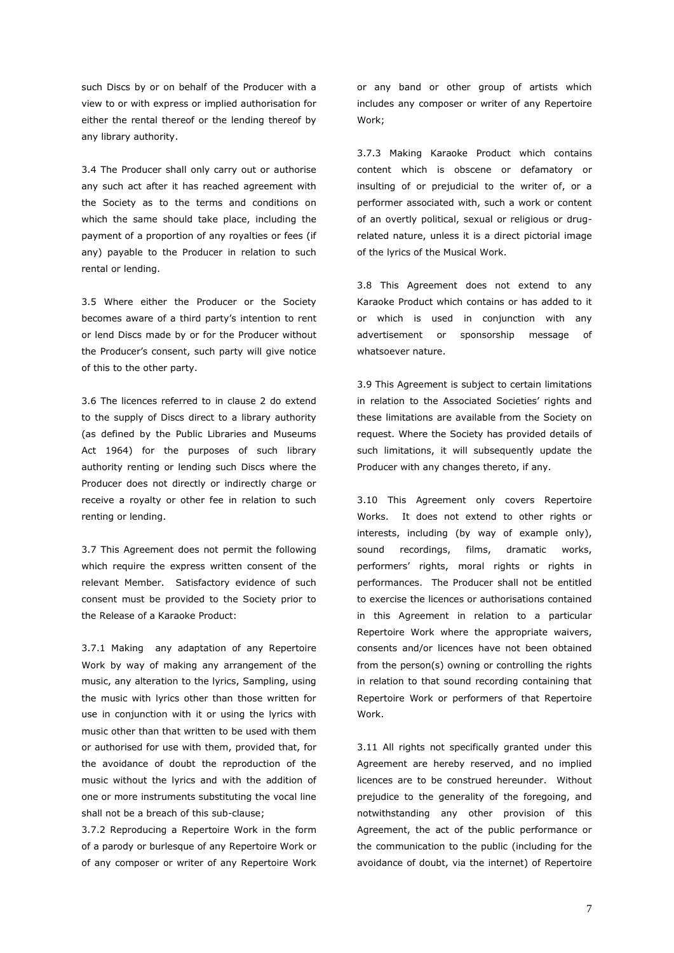such Discs by or on behalf of the Producer with a view to or with express or implied authorisation for either the rental thereof or the lending thereof by any library authority.

3.4 The Producer shall only carry out or authorise any such act after it has reached agreement with the Society as to the terms and conditions on which the same should take place, including the payment of a proportion of any royalties or fees (if any) payable to the Producer in relation to such rental or lending.

3.5 Where either the Producer or the Society becomes aware of a third party's intention to rent or lend Discs made by or for the Producer without the Producer's consent, such party will give notice of this to the other party.

3.6 The licences referred to in clause 2 do extend to the supply of Discs direct to a library authority (as defined by the Public Libraries and Museums Act 1964) for the purposes of such library authority renting or lending such Discs where the Producer does not directly or indirectly charge or receive a royalty or other fee in relation to such renting or lending.

3.7 This Agreement does not permit the following which require the express written consent of the relevant Member. Satisfactory evidence of such consent must be provided to the Society prior to the Release of a Karaoke Product:

3.7.1 Making any adaptation of any Repertoire Work by way of making any arrangement of the music, any alteration to the lyrics, Sampling, using the music with lyrics other than those written for use in conjunction with it or using the lyrics with music other than that written to be used with them or authorised for use with them, provided that, for the avoidance of doubt the reproduction of the music without the lyrics and with the addition of one or more instruments substituting the vocal line shall not be a breach of this sub-clause;

3.7.2 Reproducing a Repertoire Work in the form of a parody or burlesque of any Repertoire Work or of any composer or writer of any Repertoire Work

or any band or other group of artists which includes any composer or writer of any Repertoire Work;

3.7.3 Making Karaoke Product which contains content which is obscene or defamatory or insulting of or prejudicial to the writer of, or a performer associated with, such a work or content of an overtly political, sexual or religious or drugrelated nature, unless it is a direct pictorial image of the lyrics of the Musical Work.

3.8 This Agreement does not extend to any Karaoke Product which contains or has added to it or which is used in conjunction with any advertisement or sponsorship message of whatsoever nature.

3.9 This Agreement is subject to certain limitations in relation to the Associated Societies' rights and these limitations are available from the Society on request. Where the Society has provided details of such limitations, it will subsequently update the Producer with any changes thereto, if any.

3.10 This Agreement only covers Repertoire Works. It does not extend to other rights or interests, including (by way of example only), sound recordings, films, dramatic works, performers' rights, moral rights or rights in performances. The Producer shall not be entitled to exercise the licences or authorisations contained in this Agreement in relation to a particular Repertoire Work where the appropriate waivers, consents and/or licences have not been obtained from the person(s) owning or controlling the rights in relation to that sound recording containing that Repertoire Work or performers of that Repertoire Work.

3.11 All rights not specifically granted under this Agreement are hereby reserved, and no implied licences are to be construed hereunder. Without prejudice to the generality of the foregoing, and notwithstanding any other provision of this Agreement, the act of the public performance or the communication to the public (including for the avoidance of doubt, via the internet) of Repertoire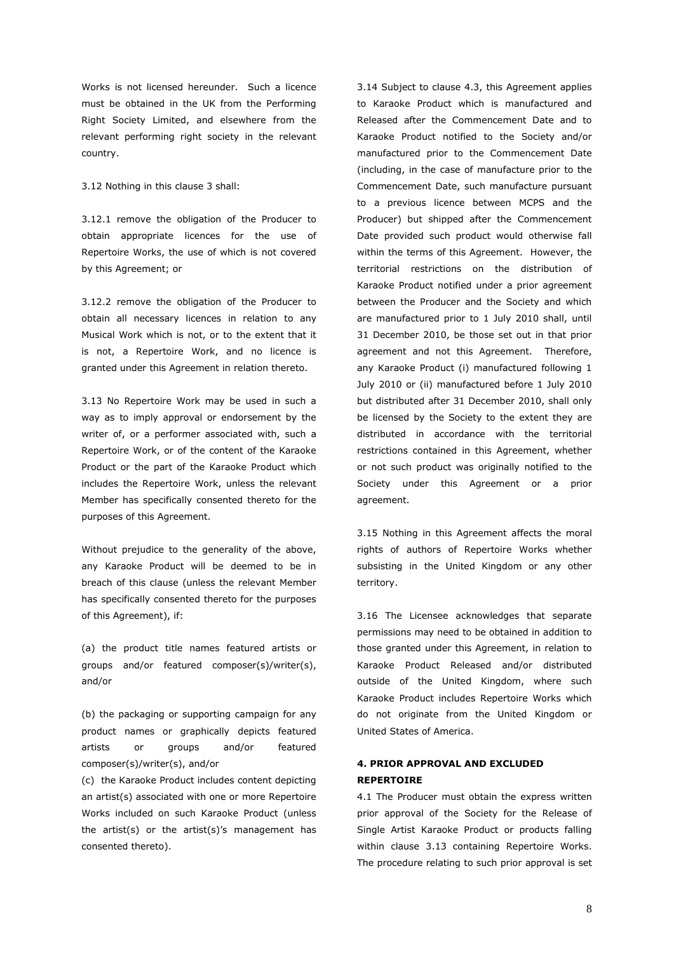Works is not licensed hereunder. Such a licence must be obtained in the UK from the Performing Right Society Limited, and elsewhere from the relevant performing right society in the relevant country.

3.12 Nothing in this clause 3 shall:

3.12.1 remove the obligation of the Producer to obtain appropriate licences for the use of Repertoire Works, the use of which is not covered by this Agreement; or

3.12.2 remove the obligation of the Producer to obtain all necessary licences in relation to any Musical Work which is not, or to the extent that it is not, a Repertoire Work, and no licence is granted under this Agreement in relation thereto.

3.13 No Repertoire Work may be used in such a way as to imply approval or endorsement by the writer of, or a performer associated with, such a Repertoire Work, or of the content of the Karaoke Product or the part of the Karaoke Product which includes the Repertoire Work, unless the relevant Member has specifically consented thereto for the purposes of this Agreement.

Without prejudice to the generality of the above, any Karaoke Product will be deemed to be in breach of this clause (unless the relevant Member has specifically consented thereto for the purposes of this Agreement), if:

(a) the product title names featured artists or groups and/or featured composer(s)/writer(s), and/or

(b) the packaging or supporting campaign for any product names or graphically depicts featured artists or groups and/or featured composer(s)/writer(s), and/or

(c) the Karaoke Product includes content depicting an artist(s) associated with one or more Repertoire Works included on such Karaoke Product (unless the artist(s) or the artist(s)'s management has consented thereto).

3.14 Subject to clause 4.3, this Agreement applies to Karaoke Product which is manufactured and Released after the Commencement Date and to Karaoke Product notified to the Society and/or manufactured prior to the Commencement Date (including, in the case of manufacture prior to the Commencement Date, such manufacture pursuant to a previous licence between MCPS and the Producer) but shipped after the Commencement Date provided such product would otherwise fall within the terms of this Agreement. However, the territorial restrictions on the distribution of Karaoke Product notified under a prior agreement between the Producer and the Society and which are manufactured prior to 1 July 2010 shall, until 31 December 2010, be those set out in that prior agreement and not this Agreement. Therefore, any Karaoke Product (i) manufactured following 1 July 2010 or (ii) manufactured before 1 July 2010 but distributed after 31 December 2010, shall only be licensed by the Society to the extent they are distributed in accordance with the territorial restrictions contained in this Agreement, whether or not such product was originally notified to the Society under this Agreement or a prior agreement.

3.15 Nothing in this Agreement affects the moral rights of authors of Repertoire Works whether subsisting in the United Kingdom or any other territory.

3.16 The Licensee acknowledges that separate permissions may need to be obtained in addition to those granted under this Agreement, in relation to Karaoke Product Released and/or distributed outside of the United Kingdom, where such Karaoke Product includes Repertoire Works which do not originate from the United Kingdom or United States of America.

### **4. PRIOR APPROVAL AND EXCLUDED REPERTOIRE**

4.1 The Producer must obtain the express written prior approval of the Society for the Release of Single Artist Karaoke Product or products falling within clause 3.13 containing Repertoire Works. The procedure relating to such prior approval is set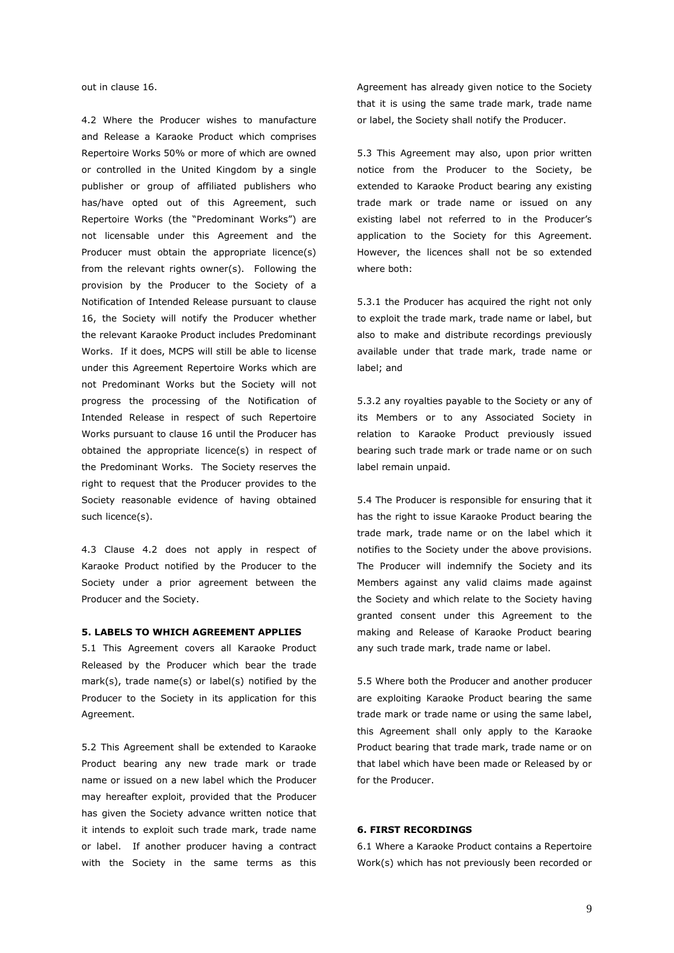out in clause 16.

4.2 Where the Producer wishes to manufacture and Release a Karaoke Product which comprises Repertoire Works 50% or more of which are owned or controlled in the United Kingdom by a single publisher or group of affiliated publishers who has/have opted out of this Agreement, such Repertoire Works (the "Predominant Works") are not licensable under this Agreement and the Producer must obtain the appropriate licence(s) from the relevant rights owner(s). Following the provision by the Producer to the Society of a Notification of Intended Release pursuant to clause 16, the Society will notify the Producer whether the relevant Karaoke Product includes Predominant Works. If it does, MCPS will still be able to license under this Agreement Repertoire Works which are not Predominant Works but the Society will not progress the processing of the Notification of Intended Release in respect of such Repertoire Works pursuant to clause 16 until the Producer has obtained the appropriate licence(s) in respect of the Predominant Works. The Society reserves the right to request that the Producer provides to the Society reasonable evidence of having obtained such licence(s).

4.3 Clause 4.2 does not apply in respect of Karaoke Product notified by the Producer to the Society under a prior agreement between the Producer and the Society.

#### **5. LABELS TO WHICH AGREEMENT APPLIES**

5.1 This Agreement covers all Karaoke Product Released by the Producer which bear the trade mark(s), trade name(s) or label(s) notified by the Producer to the Society in its application for this Agreement.

5.2 This Agreement shall be extended to Karaoke Product bearing any new trade mark or trade name or issued on a new label which the Producer may hereafter exploit, provided that the Producer has given the Society advance written notice that it intends to exploit such trade mark, trade name or label. If another producer having a contract with the Society in the same terms as this

Agreement has already given notice to the Society that it is using the same trade mark, trade name or label, the Society shall notify the Producer.

5.3 This Agreement may also, upon prior written notice from the Producer to the Society, be extended to Karaoke Product bearing any existing trade mark or trade name or issued on any existing label not referred to in the Producer's application to the Society for this Agreement. However, the licences shall not be so extended where both:

5.3.1 the Producer has acquired the right not only to exploit the trade mark, trade name or label, but also to make and distribute recordings previously available under that trade mark, trade name or label; and

5.3.2 any royalties payable to the Society or any of its Members or to any Associated Society in relation to Karaoke Product previously issued bearing such trade mark or trade name or on such label remain unpaid.

5.4 The Producer is responsible for ensuring that it has the right to issue Karaoke Product bearing the trade mark, trade name or on the label which it notifies to the Society under the above provisions. The Producer will indemnify the Society and its Members against any valid claims made against the Society and which relate to the Society having granted consent under this Agreement to the making and Release of Karaoke Product bearing any such trade mark, trade name or label.

5.5 Where both the Producer and another producer are exploiting Karaoke Product bearing the same trade mark or trade name or using the same label, this Agreement shall only apply to the Karaoke Product bearing that trade mark, trade name or on that label which have been made or Released by or for the Producer.

#### **6. FIRST RECORDINGS**

6.1 Where a Karaoke Product contains a Repertoire Work(s) which has not previously been recorded or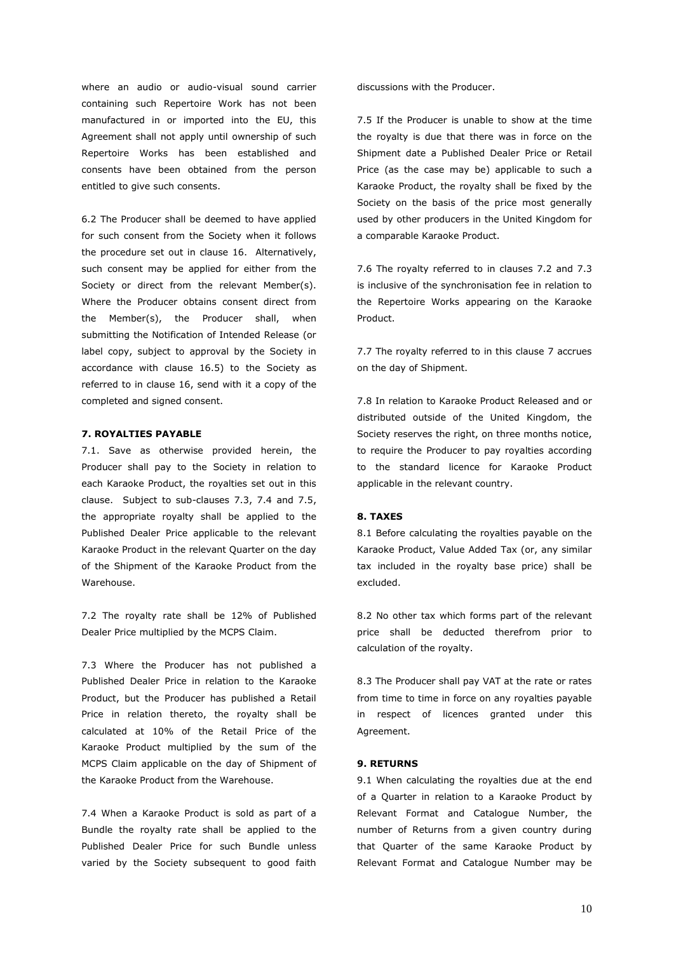where an audio or audio-visual sound carrier containing such Repertoire Work has not been manufactured in or imported into the EU, this Agreement shall not apply until ownership of such Repertoire Works has been established and consents have been obtained from the person entitled to give such consents.

6.2 The Producer shall be deemed to have applied for such consent from the Society when it follows the procedure set out in clause 16. Alternatively, such consent may be applied for either from the Society or direct from the relevant Member(s). Where the Producer obtains consent direct from the Member(s), the Producer shall, when submitting the Notification of Intended Release (or label copy, subject to approval by the Society in accordance with clause 16.5) to the Society as referred to in clause 16, send with it a copy of the completed and signed consent.

#### **7. ROYALTIES PAYABLE**

7.1. Save as otherwise provided herein, the Producer shall pay to the Society in relation to each Karaoke Product, the royalties set out in this clause. Subject to sub-clauses 7.3, 7.4 and 7.5, the appropriate royalty shall be applied to the Published Dealer Price applicable to the relevant Karaoke Product in the relevant Quarter on the day of the Shipment of the Karaoke Product from the Warehouse.

7.2 The royalty rate shall be 12% of Published Dealer Price multiplied by the MCPS Claim.

7.3 Where the Producer has not published a Published Dealer Price in relation to the Karaoke Product, but the Producer has published a Retail Price in relation thereto, the royalty shall be calculated at 10% of the Retail Price of the Karaoke Product multiplied by the sum of the MCPS Claim applicable on the day of Shipment of the Karaoke Product from the Warehouse.

7.4 When a Karaoke Product is sold as part of a Bundle the royalty rate shall be applied to the Published Dealer Price for such Bundle unless varied by the Society subsequent to good faith discussions with the Producer.

7.5 If the Producer is unable to show at the time the royalty is due that there was in force on the Shipment date a Published Dealer Price or Retail Price (as the case may be) applicable to such a Karaoke Product, the royalty shall be fixed by the Society on the basis of the price most generally used by other producers in the United Kingdom for a comparable Karaoke Product.

7.6 The royalty referred to in clauses 7.2 and 7.3 is inclusive of the synchronisation fee in relation to the Repertoire Works appearing on the Karaoke Product.

7.7 The royalty referred to in this clause 7 accrues on the day of Shipment.

7.8 In relation to Karaoke Product Released and or distributed outside of the United Kingdom, the Society reserves the right, on three months notice, to require the Producer to pay royalties according to the standard licence for Karaoke Product applicable in the relevant country.

#### **8. TAXES**

8.1 Before calculating the royalties payable on the Karaoke Product, Value Added Tax (or, any similar tax included in the royalty base price) shall be excluded.

8.2 No other tax which forms part of the relevant price shall be deducted therefrom prior to calculation of the royalty.

8.3 The Producer shall pay VAT at the rate or rates from time to time in force on any royalties payable in respect of licences granted under this Agreement.

#### **9. RETURNS**

9.1 When calculating the royalties due at the end of a Quarter in relation to a Karaoke Product by Relevant Format and Catalogue Number, the number of Returns from a given country during that Quarter of the same Karaoke Product by Relevant Format and Catalogue Number may be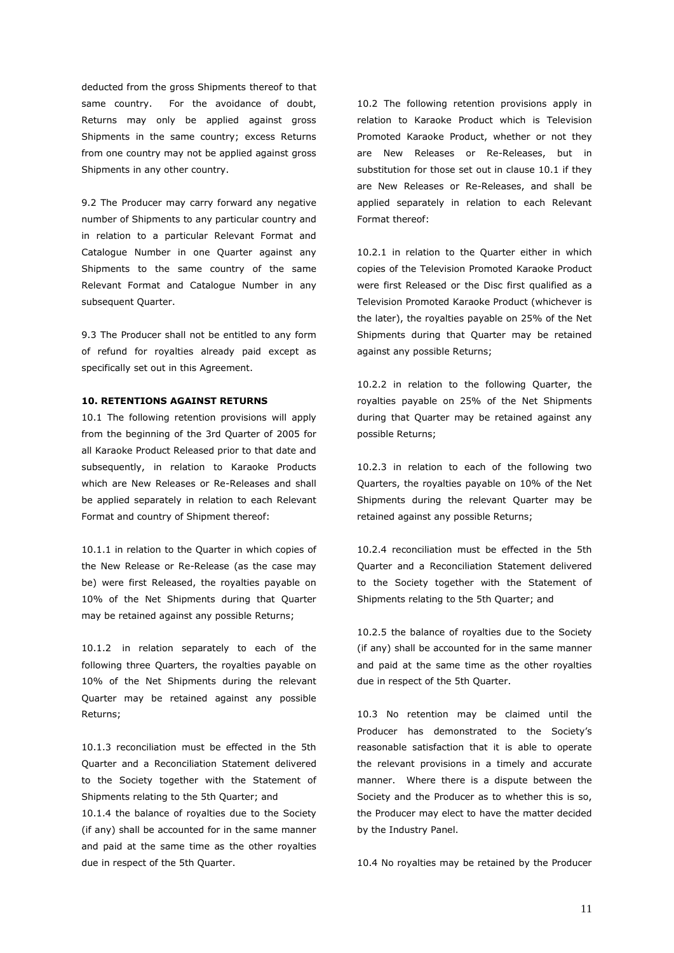deducted from the gross Shipments thereof to that same country. For the avoidance of doubt, Returns may only be applied against gross Shipments in the same country; excess Returns from one country may not be applied against gross Shipments in any other country.

9.2 The Producer may carry forward any negative number of Shipments to any particular country and in relation to a particular Relevant Format and Catalogue Number in one Quarter against any Shipments to the same country of the same Relevant Format and Catalogue Number in any subsequent Quarter.

9.3 The Producer shall not be entitled to any form of refund for royalties already paid except as specifically set out in this Agreement.

#### **10. RETENTIONS AGAINST RETURNS**

10.1 The following retention provisions will apply from the beginning of the 3rd Quarter of 2005 for all Karaoke Product Released prior to that date and subsequently, in relation to Karaoke Products which are New Releases or Re-Releases and shall be applied separately in relation to each Relevant Format and country of Shipment thereof:

10.1.1 in relation to the Quarter in which copies of the New Release or Re-Release (as the case may be) were first Released, the royalties payable on 10% of the Net Shipments during that Quarter may be retained against any possible Returns;

10.1.2 in relation separately to each of the following three Quarters, the royalties payable on 10% of the Net Shipments during the relevant Quarter may be retained against any possible Returns;

10.1.3 reconciliation must be effected in the 5th Quarter and a Reconciliation Statement delivered to the Society together with the Statement of Shipments relating to the 5th Quarter; and

10.1.4 the balance of royalties due to the Society (if any) shall be accounted for in the same manner and paid at the same time as the other royalties due in respect of the 5th Quarter.

10.2 The following retention provisions apply in relation to Karaoke Product which is Television Promoted Karaoke Product, whether or not they are New Releases or Re-Releases, but in substitution for those set out in clause 10.1 if they are New Releases or Re-Releases, and shall be applied separately in relation to each Relevant Format thereof:

10.2.1 in relation to the Quarter either in which copies of the Television Promoted Karaoke Product were first Released or the Disc first qualified as a Television Promoted Karaoke Product (whichever is the later), the royalties payable on 25% of the Net Shipments during that Quarter may be retained against any possible Returns;

10.2.2 in relation to the following Quarter, the royalties payable on 25% of the Net Shipments during that Quarter may be retained against any possible Returns;

10.2.3 in relation to each of the following two Quarters, the royalties payable on 10% of the Net Shipments during the relevant Quarter may be retained against any possible Returns;

10.2.4 reconciliation must be effected in the 5th Quarter and a Reconciliation Statement delivered to the Society together with the Statement of Shipments relating to the 5th Quarter; and

10.2.5 the balance of royalties due to the Society (if any) shall be accounted for in the same manner and paid at the same time as the other royalties due in respect of the 5th Quarter.

10.3 No retention may be claimed until the Producer has demonstrated to the Society's reasonable satisfaction that it is able to operate the relevant provisions in a timely and accurate manner. Where there is a dispute between the Society and the Producer as to whether this is so, the Producer may elect to have the matter decided by the Industry Panel.

10.4 No royalties may be retained by the Producer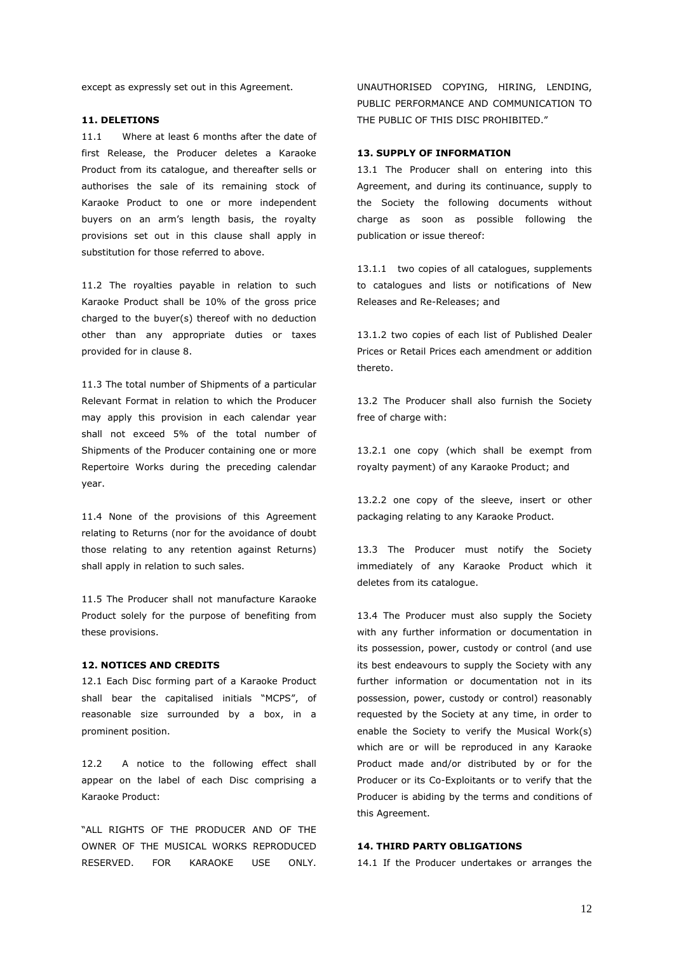except as expressly set out in this Agreement.

#### **11. DELETIONS**

11.1 Where at least 6 months after the date of first Release, the Producer deletes a Karaoke Product from its catalogue, and thereafter sells or authorises the sale of its remaining stock of Karaoke Product to one or more independent buyers on an arm's length basis, the royalty provisions set out in this clause shall apply in substitution for those referred to above.

11.2 The royalties payable in relation to such Karaoke Product shall be 10% of the gross price charged to the buyer(s) thereof with no deduction other than any appropriate duties or taxes provided for in clause 8.

11.3 The total number of Shipments of a particular Relevant Format in relation to which the Producer may apply this provision in each calendar year shall not exceed 5% of the total number of Shipments of the Producer containing one or more Repertoire Works during the preceding calendar year.

11.4 None of the provisions of this Agreement relating to Returns (nor for the avoidance of doubt those relating to any retention against Returns) shall apply in relation to such sales.

11.5 The Producer shall not manufacture Karaoke Product solely for the purpose of benefiting from these provisions.

#### **12. NOTICES AND CREDITS**

12.1 Each Disc forming part of a Karaoke Product shall bear the capitalised initials "MCPS", of reasonable size surrounded by a box, in a prominent position.

12.2 A notice to the following effect shall appear on the label of each Disc comprising a Karaoke Product:

"ALL RIGHTS OF THE PRODUCER AND OF THE OWNER OF THE MUSICAL WORKS REPRODUCED RESERVED. FOR KARAOKE USE ONLY. UNAUTHORISED COPYING, HIRING, LENDING, PUBLIC PERFORMANCE AND COMMUNICATION TO THE PUBLIC OF THIS DISC PROHIBITED."

#### **13. SUPPLY OF INFORMATION**

13.1 The Producer shall on entering into this Agreement, and during its continuance, supply to the Society the following documents without charge as soon as possible following the publication or issue thereof:

13.1.1 two copies of all catalogues, supplements to catalogues and lists or notifications of New Releases and Re-Releases; and

13.1.2 two copies of each list of Published Dealer Prices or Retail Prices each amendment or addition thereto.

13.2 The Producer shall also furnish the Society free of charge with:

13.2.1 one copy (which shall be exempt from royalty payment) of any Karaoke Product; and

13.2.2 one copy of the sleeve, insert or other packaging relating to any Karaoke Product.

13.3 The Producer must notify the Society immediately of any Karaoke Product which it deletes from its catalogue.

13.4 The Producer must also supply the Society with any further information or documentation in its possession, power, custody or control (and use its best endeavours to supply the Society with any further information or documentation not in its possession, power, custody or control) reasonably requested by the Society at any time, in order to enable the Society to verify the Musical Work(s) which are or will be reproduced in any Karaoke Product made and/or distributed by or for the Producer or its Co-Exploitants or to verify that the Producer is abiding by the terms and conditions of this Agreement.

#### **14. THIRD PARTY OBLIGATIONS**

14.1 If the Producer undertakes or arranges the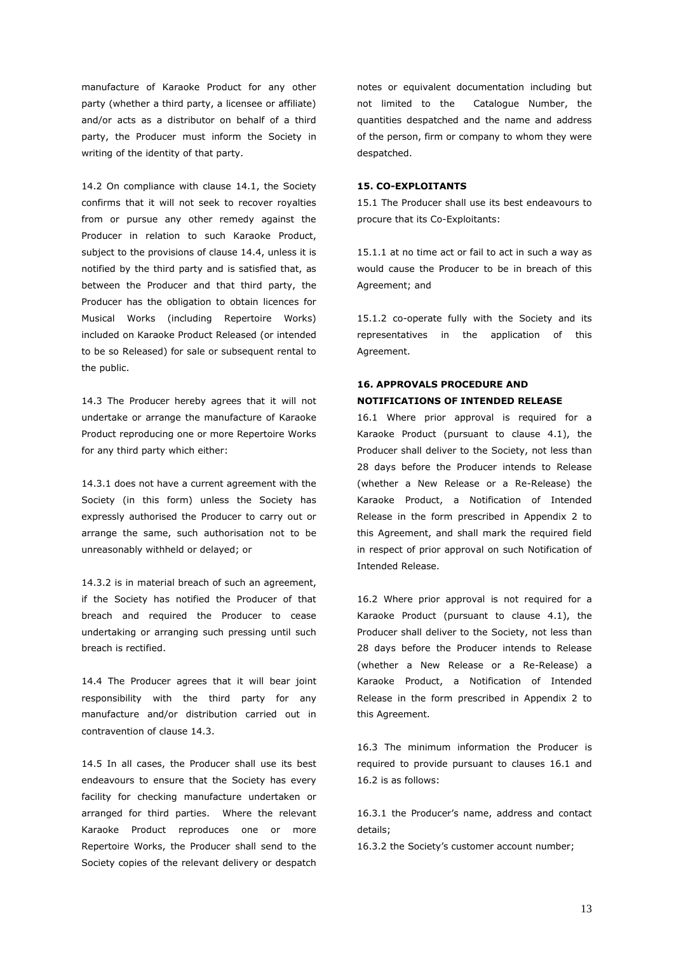manufacture of Karaoke Product for any other party (whether a third party, a licensee or affiliate) and/or acts as a distributor on behalf of a third party, the Producer must inform the Society in writing of the identity of that party.

14.2 On compliance with clause 14.1, the Society confirms that it will not seek to recover royalties from or pursue any other remedy against the Producer in relation to such Karaoke Product, subject to the provisions of clause 14.4, unless it is notified by the third party and is satisfied that, as between the Producer and that third party, the Producer has the obligation to obtain licences for Musical Works (including Repertoire Works) included on Karaoke Product Released (or intended to be so Released) for sale or subsequent rental to the public.

14.3 The Producer hereby agrees that it will not undertake or arrange the manufacture of Karaoke Product reproducing one or more Repertoire Works for any third party which either:

14.3.1 does not have a current agreement with the Society (in this form) unless the Society has expressly authorised the Producer to carry out or arrange the same, such authorisation not to be unreasonably withheld or delayed; or

14.3.2 is in material breach of such an agreement, if the Society has notified the Producer of that breach and required the Producer to cease undertaking or arranging such pressing until such breach is rectified.

14.4 The Producer agrees that it will bear joint responsibility with the third party for any manufacture and/or distribution carried out in contravention of clause 14.3.

14.5 In all cases, the Producer shall use its best endeavours to ensure that the Society has every facility for checking manufacture undertaken or arranged for third parties. Where the relevant Karaoke Product reproduces one or more Repertoire Works, the Producer shall send to the Society copies of the relevant delivery or despatch

notes or equivalent documentation including but not limited to the Catalogue Number, the quantities despatched and the name and address of the person, firm or company to whom they were despatched.

#### **15. CO-EXPLOITANTS**

15.1 The Producer shall use its best endeavours to procure that its Co-Exploitants:

15.1.1 at no time act or fail to act in such a way as would cause the Producer to be in breach of this Agreement; and

15.1.2 co-operate fully with the Society and its representatives in the application of this Agreement.

### **16. APPROVALS PROCEDURE AND NOTIFICATIONS OF INTENDED RELEASE**

16.1 Where prior approval is required for a Karaoke Product (pursuant to clause 4.1), the Producer shall deliver to the Society, not less than 28 days before the Producer intends to Release (whether a New Release or a Re-Release) the Karaoke Product, a Notification of Intended Release in the form prescribed in Appendix 2 to this Agreement, and shall mark the required field in respect of prior approval on such Notification of Intended Release.

16.2 Where prior approval is not required for a Karaoke Product (pursuant to clause 4.1), the Producer shall deliver to the Society, not less than 28 days before the Producer intends to Release (whether a New Release or a Re-Release) a Karaoke Product, a Notification of Intended Release in the form prescribed in Appendix 2 to this Agreement.

16.3 The minimum information the Producer is required to provide pursuant to clauses 16.1 and 16.2 is as follows:

16.3.1 the Producer's name, address and contact details;

16.3.2 the Society's customer account number;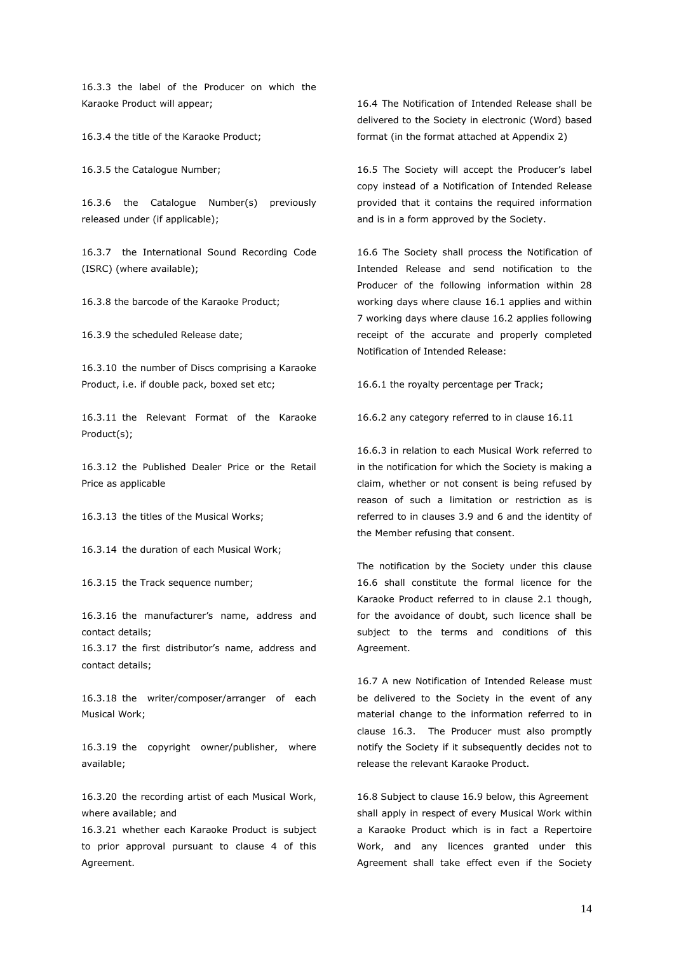16.3.3 the label of the Producer on which the Karaoke Product will appear;

16.3.4 the title of the Karaoke Product;

16.3.5 the Catalogue Number;

16.3.6 the Catalogue Number(s) previously released under (if applicable);

16.3.7 the International Sound Recording Code (ISRC) (where available);

16.3.8 the barcode of the Karaoke Product;

16.3.9 the scheduled Release date;

16.3.10 the number of Discs comprising a Karaoke Product, i.e. if double pack, boxed set etc;

16.3.11 the Relevant Format of the Karaoke Product(s);

16.3.12 the Published Dealer Price or the Retail Price as applicable

16.3.13 the titles of the Musical Works;

16.3.14 the duration of each Musical Work;

16.3.15 the Track sequence number;

16.3.16 the manufacturer's name, address and contact details;

16.3.17 the first distributor's name, address and contact details;

16.3.18 the writer/composer/arranger of each Musical Work;

16.3.19 the copyright owner/publisher, where available;

16.3.20 the recording artist of each Musical Work, where available; and

16.3.21 whether each Karaoke Product is subject to prior approval pursuant to clause 4 of this Agreement.

16.4 The Notification of Intended Release shall be delivered to the Society in electronic (Word) based format (in the format attached at Appendix 2)

16.5 The Society will accept the Producer's label copy instead of a Notification of Intended Release provided that it contains the required information and is in a form approved by the Society.

16.6 The Society shall process the Notification of Intended Release and send notification to the Producer of the following information within 28 working days where clause 16.1 applies and within 7 working days where clause 16.2 applies following receipt of the accurate and properly completed Notification of Intended Release:

16.6.1 the royalty percentage per Track;

16.6.2 any category referred to in clause 16.11

16.6.3 in relation to each Musical Work referred to in the notification for which the Society is making a claim, whether or not consent is being refused by reason of such a limitation or restriction as is referred to in clauses 3.9 and 6 and the identity of the Member refusing that consent.

The notification by the Society under this clause 16.6 shall constitute the formal licence for the Karaoke Product referred to in clause 2.1 though, for the avoidance of doubt, such licence shall be subject to the terms and conditions of this Agreement.

16.7 A new Notification of Intended Release must be delivered to the Society in the event of any material change to the information referred to in clause 16.3. The Producer must also promptly notify the Society if it subsequently decides not to release the relevant Karaoke Product.

16.8 Subject to clause 16.9 below, this Agreement shall apply in respect of every Musical Work within a Karaoke Product which is in fact a Repertoire Work, and any licences granted under this Agreement shall take effect even if the Society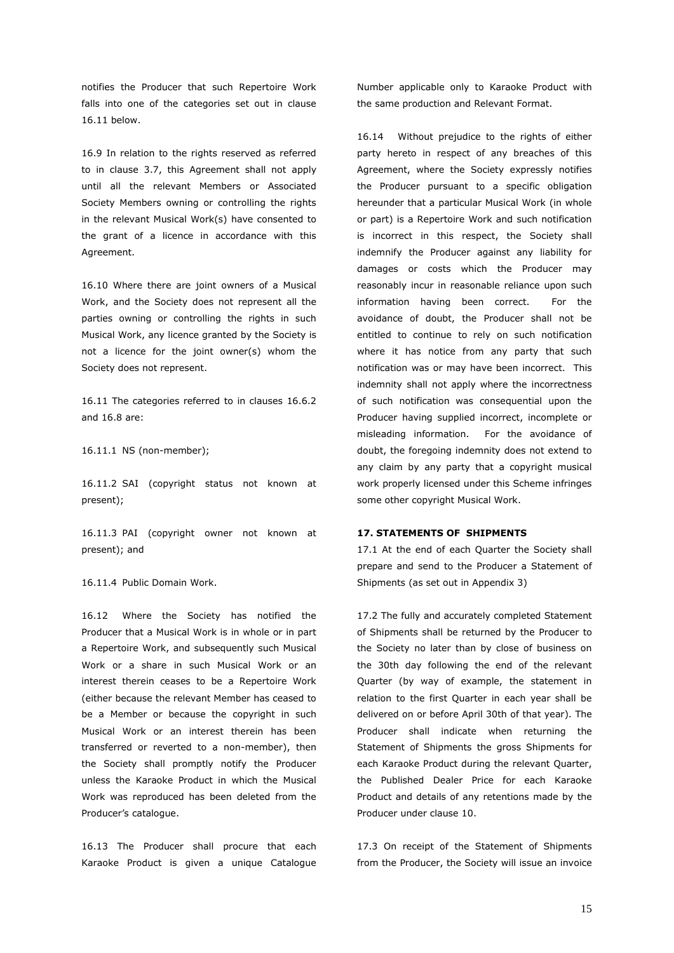notifies the Producer that such Repertoire Work falls into one of the categories set out in clause 16.11 below.

16.9 In relation to the rights reserved as referred to in clause 3.7, this Agreement shall not apply until all the relevant Members or Associated Society Members owning or controlling the rights in the relevant Musical Work(s) have consented to the grant of a licence in accordance with this Agreement.

16.10 Where there are joint owners of a Musical Work, and the Society does not represent all the parties owning or controlling the rights in such Musical Work, any licence granted by the Society is not a licence for the joint owner(s) whom the Society does not represent.

16.11 The categories referred to in clauses 16.6.2 and 16.8 are:

16.11.1 NS (non-member);

16.11.2 SAI (copyright status not known at present);

16.11.3 PAI (copyright owner not known at present); and

16.11.4 Public Domain Work.

16.12 Where the Society has notified the Producer that a Musical Work is in whole or in part a Repertoire Work, and subsequently such Musical Work or a share in such Musical Work or an interest therein ceases to be a Repertoire Work (either because the relevant Member has ceased to be a Member or because the copyright in such Musical Work or an interest therein has been transferred or reverted to a non-member), then the Society shall promptly notify the Producer unless the Karaoke Product in which the Musical Work was reproduced has been deleted from the Producer's catalogue.

16.13 The Producer shall procure that each Karaoke Product is given a unique Catalogue

Number applicable only to Karaoke Product with the same production and Relevant Format.

16.14 Without prejudice to the rights of either party hereto in respect of any breaches of this Agreement, where the Society expressly notifies the Producer pursuant to a specific obligation hereunder that a particular Musical Work (in whole or part) is a Repertoire Work and such notification is incorrect in this respect, the Society shall indemnify the Producer against any liability for damages or costs which the Producer may reasonably incur in reasonable reliance upon such information having been correct. For the avoidance of doubt, the Producer shall not be entitled to continue to rely on such notification where it has notice from any party that such notification was or may have been incorrect. This indemnity shall not apply where the incorrectness of such notification was consequential upon the Producer having supplied incorrect, incomplete or misleading information. For the avoidance of doubt, the foregoing indemnity does not extend to any claim by any party that a copyright musical work properly licensed under this Scheme infringes some other copyright Musical Work.

#### **17. STATEMENTS OF SHIPMENTS**

17.1 At the end of each Quarter the Society shall prepare and send to the Producer a Statement of Shipments (as set out in Appendix 3)

17.2 The fully and accurately completed Statement of Shipments shall be returned by the Producer to the Society no later than by close of business on the 30th day following the end of the relevant Quarter (by way of example, the statement in relation to the first Quarter in each year shall be delivered on or before April 30th of that year). The Producer shall indicate when returning the Statement of Shipments the gross Shipments for each Karaoke Product during the relevant Quarter, the Published Dealer Price for each Karaoke Product and details of any retentions made by the Producer under clause 10.

17.3 On receipt of the Statement of Shipments from the Producer, the Society will issue an invoice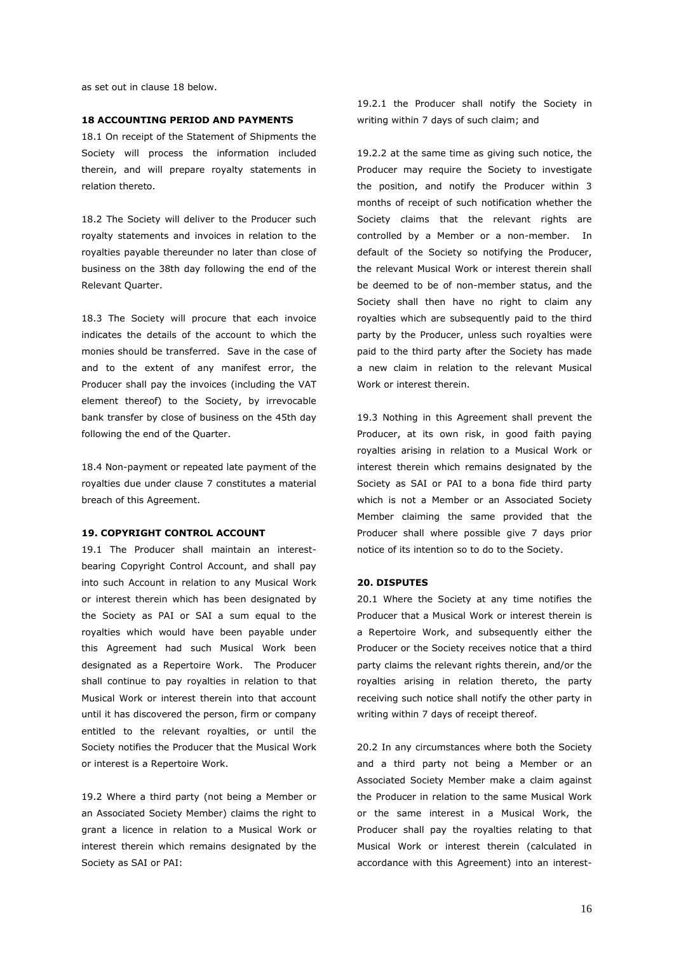as set out in clause 18 below.

#### **18 ACCOUNTING PERIOD AND PAYMENTS**

18.1 On receipt of the Statement of Shipments the Society will process the information included therein, and will prepare royalty statements in relation thereto.

18.2 The Society will deliver to the Producer such royalty statements and invoices in relation to the royalties payable thereunder no later than close of business on the 38th day following the end of the Relevant Quarter.

18.3 The Society will procure that each invoice indicates the details of the account to which the monies should be transferred. Save in the case of and to the extent of any manifest error, the Producer shall pay the invoices (including the VAT element thereof) to the Society, by irrevocable bank transfer by close of business on the 45th day following the end of the Quarter.

18.4 Non-payment or repeated late payment of the royalties due under clause 7 constitutes a material breach of this Agreement.

#### **19. COPYRIGHT CONTROL ACCOUNT**

19.1 The Producer shall maintain an interestbearing Copyright Control Account, and shall pay into such Account in relation to any Musical Work or interest therein which has been designated by the Society as PAI or SAI a sum equal to the royalties which would have been payable under this Agreement had such Musical Work been designated as a Repertoire Work. The Producer shall continue to pay royalties in relation to that Musical Work or interest therein into that account until it has discovered the person, firm or company entitled to the relevant royalties, or until the Society notifies the Producer that the Musical Work or interest is a Repertoire Work.

19.2 Where a third party (not being a Member or an Associated Society Member) claims the right to grant a licence in relation to a Musical Work or interest therein which remains designated by the Society as SAI or PAI:

19.2.1 the Producer shall notify the Society in writing within 7 days of such claim; and

19.2.2 at the same time as giving such notice, the Producer may require the Society to investigate the position, and notify the Producer within 3 months of receipt of such notification whether the Society claims that the relevant rights are controlled by a Member or a non-member. In default of the Society so notifying the Producer, the relevant Musical Work or interest therein shall be deemed to be of non-member status, and the Society shall then have no right to claim any royalties which are subsequently paid to the third party by the Producer, unless such royalties were paid to the third party after the Society has made a new claim in relation to the relevant Musical Work or interest therein.

19.3 Nothing in this Agreement shall prevent the Producer, at its own risk, in good faith paying royalties arising in relation to a Musical Work or interest therein which remains designated by the Society as SAI or PAI to a bona fide third party which is not a Member or an Associated Society Member claiming the same provided that the Producer shall where possible give 7 days prior notice of its intention so to do to the Society.

#### **20. DISPUTES**

20.1 Where the Society at any time notifies the Producer that a Musical Work or interest therein is a Repertoire Work, and subsequently either the Producer or the Society receives notice that a third party claims the relevant rights therein, and/or the royalties arising in relation thereto, the party receiving such notice shall notify the other party in writing within 7 days of receipt thereof.

20.2 In any circumstances where both the Society and a third party not being a Member or an Associated Society Member make a claim against the Producer in relation to the same Musical Work or the same interest in a Musical Work, the Producer shall pay the royalties relating to that Musical Work or interest therein (calculated in accordance with this Agreement) into an interest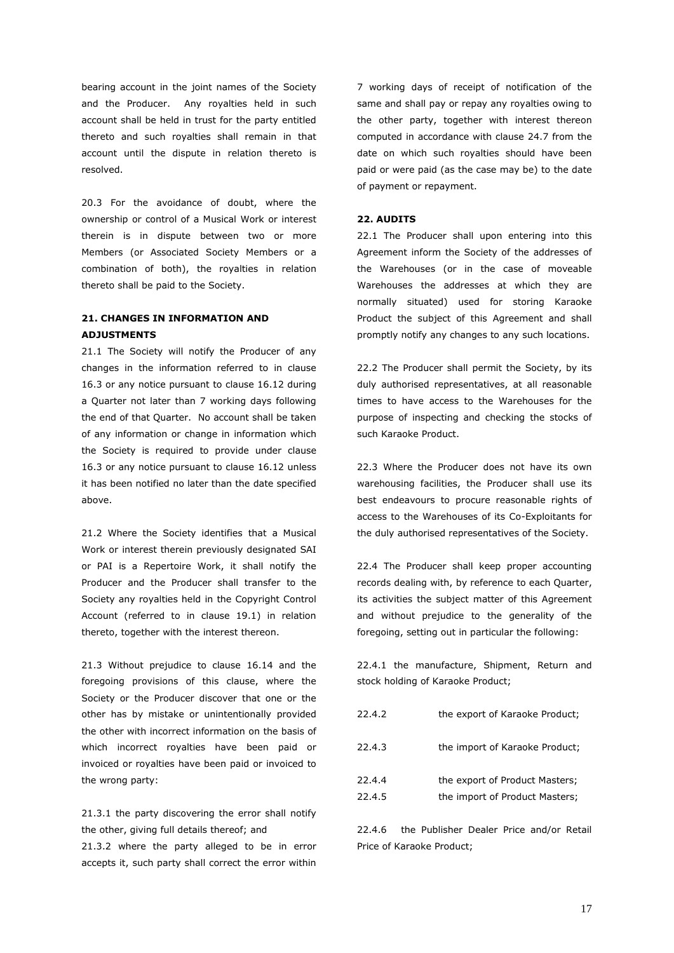bearing account in the joint names of the Society and the Producer. Any royalties held in such account shall be held in trust for the party entitled thereto and such royalties shall remain in that account until the dispute in relation thereto is resolved.

20.3 For the avoidance of doubt, where the ownership or control of a Musical Work or interest therein is in dispute between two or more Members (or Associated Society Members or a combination of both), the royalties in relation thereto shall be paid to the Society.

### **21. CHANGES IN INFORMATION AND ADJUSTMENTS**

21.1 The Society will notify the Producer of any changes in the information referred to in clause 16.3 or any notice pursuant to clause 16.12 during a Quarter not later than 7 working days following the end of that Quarter. No account shall be taken of any information or change in information which the Society is required to provide under clause 16.3 or any notice pursuant to clause 16.12 unless it has been notified no later than the date specified above.

21.2 Where the Society identifies that a Musical Work or interest therein previously designated SAI or PAI is a Repertoire Work, it shall notify the Producer and the Producer shall transfer to the Society any royalties held in the Copyright Control Account (referred to in clause 19.1) in relation thereto, together with the interest thereon.

21.3 Without prejudice to clause 16.14 and the foregoing provisions of this clause, where the Society or the Producer discover that one or the other has by mistake or unintentionally provided the other with incorrect information on the basis of which incorrect royalties have been paid or invoiced or royalties have been paid or invoiced to the wrong party:

21.3.1 the party discovering the error shall notify the other, giving full details thereof; and 21.3.2 where the party alleged to be in error accepts it, such party shall correct the error within

7 working days of receipt of notification of the same and shall pay or repay any royalties owing to the other party, together with interest thereon computed in accordance with clause 24.7 from the date on which such royalties should have been paid or were paid (as the case may be) to the date of payment or repayment.

#### **22. AUDITS**

22.1 The Producer shall upon entering into this Agreement inform the Society of the addresses of the Warehouses (or in the case of moveable Warehouses the addresses at which they are normally situated) used for storing Karaoke Product the subject of this Agreement and shall promptly notify any changes to any such locations.

22.2 The Producer shall permit the Society, by its duly authorised representatives, at all reasonable times to have access to the Warehouses for the purpose of inspecting and checking the stocks of such Karaoke Product.

22.3 Where the Producer does not have its own warehousing facilities, the Producer shall use its best endeavours to procure reasonable rights of access to the Warehouses of its Co-Exploitants for the duly authorised representatives of the Society.

22.4 The Producer shall keep proper accounting records dealing with, by reference to each Quarter, its activities the subject matter of this Agreement and without prejudice to the generality of the foregoing, setting out in particular the following:

22.4.1 the manufacture, Shipment, Return and stock holding of Karaoke Product;

| 22.4.2           | the export of Karaoke Product;                                   |
|------------------|------------------------------------------------------------------|
| 22.4.3           | the import of Karaoke Product;                                   |
| 22.4.4<br>22.4.5 | the export of Product Masters;<br>the import of Product Masters; |
|                  |                                                                  |

22.4.6 the Publisher Dealer Price and/or Retail Price of Karaoke Product;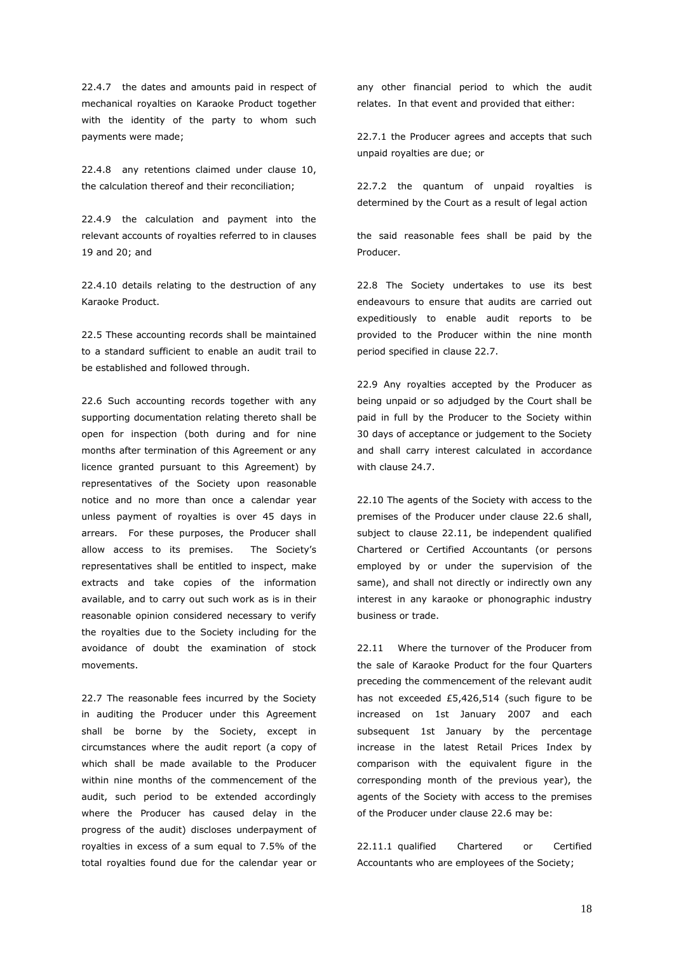22.4.7 the dates and amounts paid in respect of mechanical royalties on Karaoke Product together with the identity of the party to whom such payments were made;

22.4.8 any retentions claimed under clause 10, the calculation thereof and their reconciliation;

22.4.9 the calculation and payment into the relevant accounts of royalties referred to in clauses 19 and 20; and

22.4.10 details relating to the destruction of any Karaoke Product.

22.5 These accounting records shall be maintained to a standard sufficient to enable an audit trail to be established and followed through.

22.6 Such accounting records together with any supporting documentation relating thereto shall be open for inspection (both during and for nine months after termination of this Agreement or any licence granted pursuant to this Agreement) by representatives of the Society upon reasonable notice and no more than once a calendar year unless payment of royalties is over 45 days in arrears. For these purposes, the Producer shall allow access to its premises. The Society's representatives shall be entitled to inspect, make extracts and take copies of the information available, and to carry out such work as is in their reasonable opinion considered necessary to verify the royalties due to the Society including for the avoidance of doubt the examination of stock movements.

22.7 The reasonable fees incurred by the Society in auditing the Producer under this Agreement shall be borne by the Society, except in circumstances where the audit report (a copy of which shall be made available to the Producer within nine months of the commencement of the audit, such period to be extended accordingly where the Producer has caused delay in the progress of the audit) discloses underpayment of royalties in excess of a sum equal to 7.5% of the total royalties found due for the calendar year or any other financial period to which the audit relates. In that event and provided that either:

22.7.1 the Producer agrees and accepts that such unpaid royalties are due; or

22.7.2 the quantum of unpaid royalties is determined by the Court as a result of legal action

the said reasonable fees shall be paid by the Producer.

22.8 The Society undertakes to use its best endeavours to ensure that audits are carried out expeditiously to enable audit reports to be provided to the Producer within the nine month period specified in clause 22.7.

22.9 Any royalties accepted by the Producer as being unpaid or so adjudged by the Court shall be paid in full by the Producer to the Society within 30 days of acceptance or judgement to the Society and shall carry interest calculated in accordance with clause 24.7.

22.10 The agents of the Society with access to the premises of the Producer under clause 22.6 shall, subject to clause 22.11, be independent qualified Chartered or Certified Accountants (or persons employed by or under the supervision of the same), and shall not directly or indirectly own any interest in any karaoke or phonographic industry business or trade.

22.11 Where the turnover of the Producer from the sale of Karaoke Product for the four Quarters preceding the commencement of the relevant audit has not exceeded £5,426,514 (such figure to be increased on 1st January 2007 and each subsequent 1st January by the percentage increase in the latest Retail Prices Index by comparison with the equivalent figure in the corresponding month of the previous year), the agents of the Society with access to the premises of the Producer under clause 22.6 may be:

22.11.1 qualified Chartered or Certified Accountants who are employees of the Society;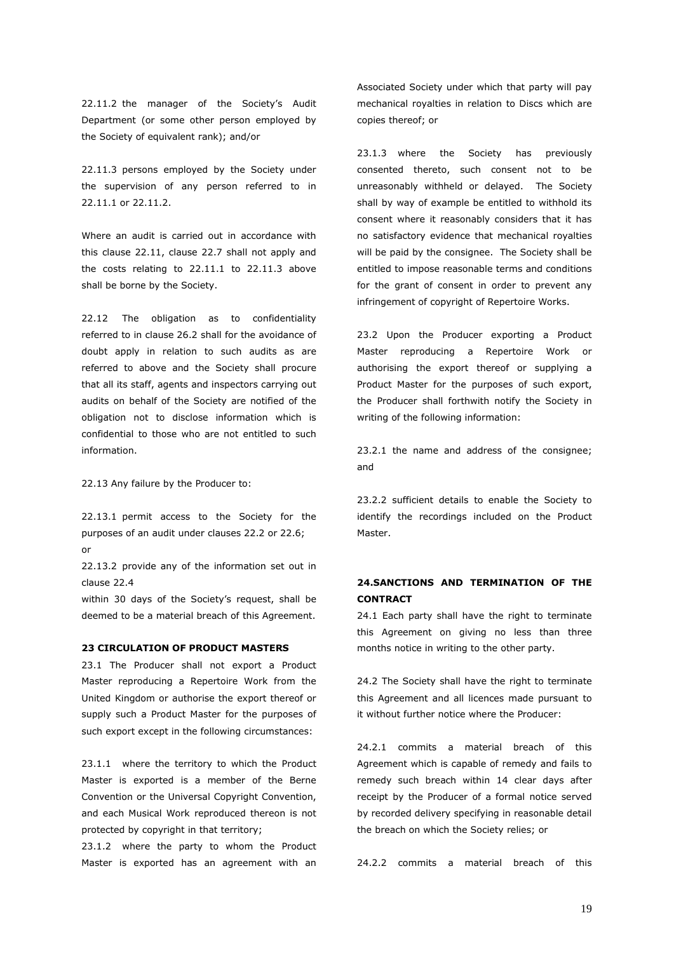22.11.2 the manager of the Society's Audit Department (or some other person employed by the Society of equivalent rank); and/or

22.11.3 persons employed by the Society under the supervision of any person referred to in 22.11.1 or 22.11.2.

Where an audit is carried out in accordance with this clause 22.11, clause 22.7 shall not apply and the costs relating to 22.11.1 to 22.11.3 above shall be borne by the Society.

22.12 The obligation as to confidentiality referred to in clause 26.2 shall for the avoidance of doubt apply in relation to such audits as are referred to above and the Society shall procure that all its staff, agents and inspectors carrying out audits on behalf of the Society are notified of the obligation not to disclose information which is confidential to those who are not entitled to such information.

22.13 Any failure by the Producer to:

22.13.1 permit access to the Society for the purposes of an audit under clauses 22.2 or 22.6; or

22.13.2 provide any of the information set out in clause 22.4

within 30 days of the Society's request, shall be deemed to be a material breach of this Agreement.

#### **23 CIRCULATION OF PRODUCT MASTERS**

23.1 The Producer shall not export a Product Master reproducing a Repertoire Work from the United Kingdom or authorise the export thereof or supply such a Product Master for the purposes of such export except in the following circumstances:

23.1.1 where the territory to which the Product Master is exported is a member of the Berne Convention or the Universal Copyright Convention, and each Musical Work reproduced thereon is not protected by copyright in that territory;

23.1.2 where the party to whom the Product Master is exported has an agreement with an

Associated Society under which that party will pay mechanical royalties in relation to Discs which are copies thereof; or

23.1.3 where the Society has previously consented thereto, such consent not to be unreasonably withheld or delayed. The Society shall by way of example be entitled to withhold its consent where it reasonably considers that it has no satisfactory evidence that mechanical royalties will be paid by the consignee. The Society shall be entitled to impose reasonable terms and conditions for the grant of consent in order to prevent any infringement of copyright of Repertoire Works.

23.2 Upon the Producer exporting a Product Master reproducing a Repertoire Work or authorising the export thereof or supplying a Product Master for the purposes of such export, the Producer shall forthwith notify the Society in writing of the following information:

23.2.1 the name and address of the consignee; and

23.2.2 sufficient details to enable the Society to identify the recordings included on the Product Master.

### **24.SANCTIONS AND TERMINATION OF THE CONTRACT**

24.1 Each party shall have the right to terminate this Agreement on giving no less than three months notice in writing to the other party.

24.2 The Society shall have the right to terminate this Agreement and all licences made pursuant to it without further notice where the Producer:

24.2.1 commits a material breach of this Agreement which is capable of remedy and fails to remedy such breach within 14 clear days after receipt by the Producer of a formal notice served by recorded delivery specifying in reasonable detail the breach on which the Society relies; or

24.2.2 commits a material breach of this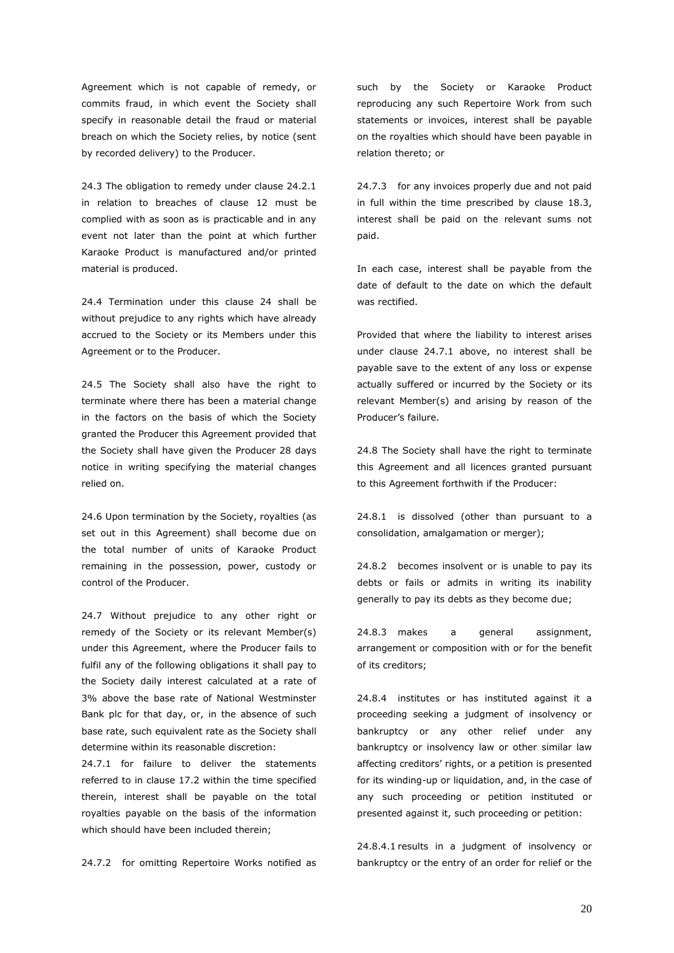Agreement which is not capable of remedy, or commits fraud, in which event the Society shall specify in reasonable detail the fraud or material breach on which the Society relies, by notice (sent by recorded delivery) to the Producer.

24.3 The obligation to remedy under clause 24.2.1 in relation to breaches of clause 12 must be complied with as soon as is practicable and in any event not later than the point at which further Karaoke Product is manufactured and/or printed material is produced.

24.4 Termination under this clause 24 shall be without prejudice to any rights which have already accrued to the Society or its Members under this Agreement or to the Producer.

24.5 The Society shall also have the right to terminate where there has been a material change in the factors on the basis of which the Society granted the Producer this Agreement provided that the Society shall have given the Producer 28 days notice in writing specifying the material changes relied on.

24.6 Upon termination by the Society, royalties (as set out in this Agreement) shall become due on the total number of units of Karaoke Product remaining in the possession, power, custody or control of the Producer.

24.7 Without prejudice to any other right or remedy of the Society or its relevant Member(s) under this Agreement, where the Producer fails to fulfil any of the following obligations it shall pay to the Society daily interest calculated at a rate of 3% above the base rate of National Westminster Bank plc for that day, or, in the absence of such base rate, such equivalent rate as the Society shall determine within its reasonable discretion:

24.7.1 for failure to deliver the statements referred to in clause 17.2 within the time specified therein, interest shall be payable on the total royalties payable on the basis of the information which should have been included therein;

24.7.2 for omitting Repertoire Works notified as

such by the Society or Karaoke Product reproducing any such Repertoire Work from such statements or invoices, interest shall be payable on the royalties which should have been payable in relation thereto; or

24.7.3 for any invoices properly due and not paid in full within the time prescribed by clause 18.3, interest shall be paid on the relevant sums not paid.

In each case, interest shall be payable from the date of default to the date on which the default was rectified.

Provided that where the liability to interest arises under clause 24.7.1 above, no interest shall be payable save to the extent of any loss or expense actually suffered or incurred by the Society or its relevant Member(s) and arising by reason of the Producer's failure.

24.8 The Society shall have the right to terminate this Agreement and all licences granted pursuant to this Agreement forthwith if the Producer:

24.8.1 is dissolved (other than pursuant to a consolidation, amalgamation or merger);

24.8.2 becomes insolvent or is unable to pay its debts or fails or admits in writing its inability generally to pay its debts as they become due;

24.8.3 makes a general assignment, arrangement or composition with or for the benefit of its creditors;

24.8.4 institutes or has instituted against it a proceeding seeking a judgment of insolvency or bankruptcy or any other relief under any bankruptcy or insolvency law or other similar law affecting creditors' rights, or a petition is presented for its winding-up or liquidation, and, in the case of any such proceeding or petition instituted or presented against it, such proceeding or petition:

24.8.4.1 results in a judgment of insolvency or bankruptcy or the entry of an order for relief or the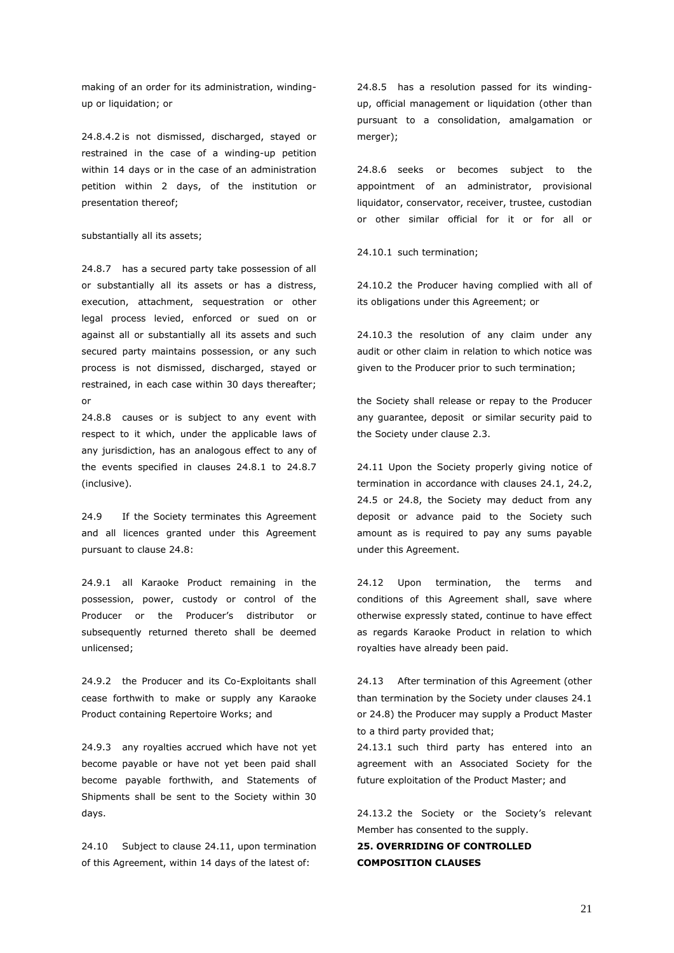making of an order for its administration, windingup or liquidation; or

24.8.4.2 is not dismissed, discharged, stayed or restrained in the case of a winding-up petition within 14 days or in the case of an administration petition within 2 days, of the institution or presentation thereof;

#### substantially all its assets;

24.8.7 has a secured party take possession of all or substantially all its assets or has a distress, execution, attachment, sequestration or other legal process levied, enforced or sued on or against all or substantially all its assets and such secured party maintains possession, or any such process is not dismissed, discharged, stayed or restrained, in each case within 30 days thereafter; or

24.8.8 causes or is subject to any event with respect to it which, under the applicable laws of any jurisdiction, has an analogous effect to any of the events specified in clauses 24.8.1 to 24.8.7 (inclusive).

24.9 If the Society terminates this Agreement and all licences granted under this Agreement pursuant to clause 24.8:

24.9.1 all Karaoke Product remaining in the possession, power, custody or control of the Producer or the Producer's distributor or subsequently returned thereto shall be deemed unlicensed;

24.9.2 the Producer and its Co-Exploitants shall cease forthwith to make or supply any Karaoke Product containing Repertoire Works; and

24.9.3 any royalties accrued which have not yet become payable or have not yet been paid shall become payable forthwith, and Statements of Shipments shall be sent to the Society within 30 days.

24.10 Subject to clause 24.11, upon termination of this Agreement, within 14 days of the latest of:

24.8.5 has a resolution passed for its windingup, official management or liquidation (other than pursuant to a consolidation, amalgamation or merger);

24.8.6 seeks or becomes subject to the appointment of an administrator, provisional liquidator, conservator, receiver, trustee, custodian or other similar official for it or for all or

24.10.1 such termination;

24.10.2 the Producer having complied with all of its obligations under this Agreement; or

24.10.3 the resolution of any claim under any audit or other claim in relation to which notice was given to the Producer prior to such termination;

the Society shall release or repay to the Producer any guarantee, deposit or similar security paid to the Society under clause 2.3.

24.11 Upon the Society properly giving notice of termination in accordance with clauses 24.1, 24.2, 24.5 or 24.8, the Society may deduct from any deposit or advance paid to the Society such amount as is required to pay any sums payable under this Agreement.

24.12 Upon termination, the terms and conditions of this Agreement shall, save where otherwise expressly stated, continue to have effect as regards Karaoke Product in relation to which royalties have already been paid.

24.13 After termination of this Agreement (other than termination by the Society under clauses 24.1 or 24.8) the Producer may supply a Product Master to a third party provided that;

24.13.1 such third party has entered into an agreement with an Associated Society for the future exploitation of the Product Master; and

24.13.2 the Society or the Society's relevant Member has consented to the supply.

### **25. OVERRIDING OF CONTROLLED COMPOSITION CLAUSES**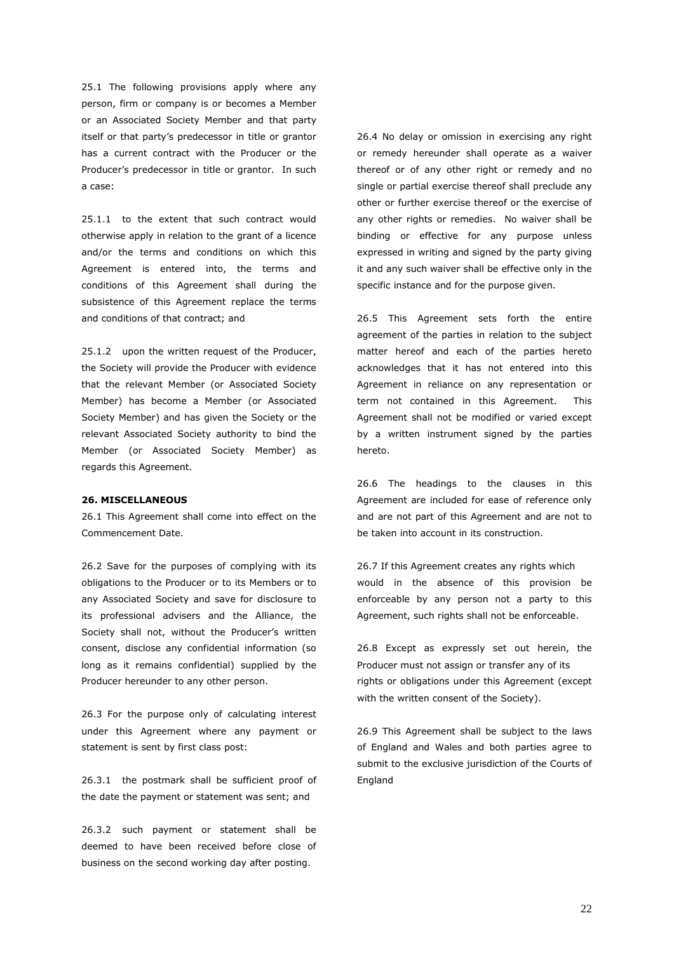25.1 The following provisions apply where any person, firm or company is or becomes a Member or an Associated Society Member and that party itself or that party's predecessor in title or grantor has a current contract with the Producer or the Producer's predecessor in title or grantor. In such a case:

25.1.1 to the extent that such contract would otherwise apply in relation to the grant of a licence and/or the terms and conditions on which this Agreement is entered into, the terms and conditions of this Agreement shall during the subsistence of this Agreement replace the terms and conditions of that contract; and

25.1.2 upon the written request of the Producer, the Society will provide the Producer with evidence that the relevant Member (or Associated Society Member) has become a Member (or Associated Society Member) and has given the Society or the relevant Associated Society authority to bind the Member (or Associated Society Member) as regards this Agreement.

#### **26. MISCELLANEOUS**

26.1 This Agreement shall come into effect on the Commencement Date.

26.2 Save for the purposes of complying with its obligations to the Producer or to its Members or to any Associated Society and save for disclosure to its professional advisers and the Alliance, the Society shall not, without the Producer's written consent, disclose any confidential information (so long as it remains confidential) supplied by the Producer hereunder to any other person.

26.3 For the purpose only of calculating interest under this Agreement where any payment or statement is sent by first class post:

26.3.1 the postmark shall be sufficient proof of the date the payment or statement was sent; and

26.3.2 such payment or statement shall be deemed to have been received before close of business on the second working day after posting.

26.4 No delay or omission in exercising any right or remedy hereunder shall operate as a waiver thereof or of any other right or remedy and no single or partial exercise thereof shall preclude any other or further exercise thereof or the exercise of any other rights or remedies. No waiver shall be binding or effective for any purpose unless expressed in writing and signed by the party giving it and any such waiver shall be effective only in the specific instance and for the purpose given.

26.5 This Agreement sets forth the entire agreement of the parties in relation to the subject matter hereof and each of the parties hereto acknowledges that it has not entered into this Agreement in reliance on any representation or term not contained in this Agreement. This Agreement shall not be modified or varied except by a written instrument signed by the parties hereto.

26.6 The headings to the clauses in this Agreement are included for ease of reference only and are not part of this Agreement and are not to be taken into account in its construction.

26.7 If this Agreement creates any rights which would in the absence of this provision be enforceable by any person not a party to this Agreement, such rights shall not be enforceable.

26.8 Except as expressly set out herein, the Producer must not assign or transfer any of its rights or obligations under this Agreement (except with the written consent of the Society).

26.9 This Agreement shall be subject to the laws of England and Wales and both parties agree to submit to the exclusive jurisdiction of the Courts of England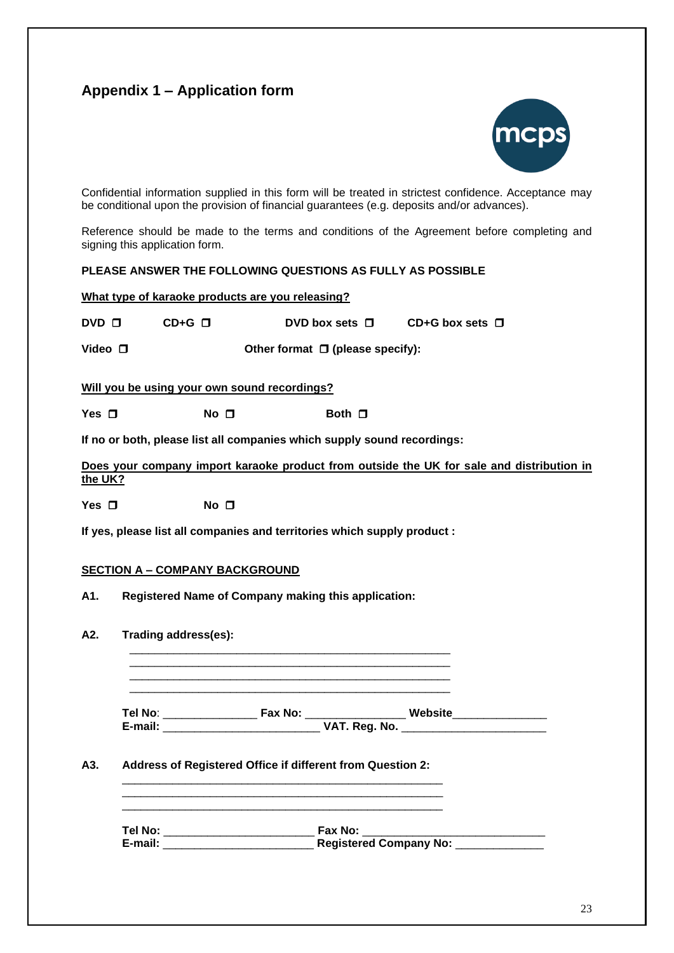# **Appendix 1 – Application form**



Confidential information supplied in this form will be treated in strictest confidence. Acceptance may be conditional upon the provision of financial guarantees (e.g. deposits and/or advances).

Reference should be made to the terms and conditions of the Agreement before completing and signing this application form.

### **PLEASE ANSWER THE FOLLOWING QUESTIONS AS FULLY AS POSSIBLE**

**What type of karaoke products are you releasing?**

**DVD □ CD+G □ DVD** box sets **□ CD+G** box sets **□** 

**Video □ Other format □ (please specify):** 

**Will you be using your own sound recordings?**

**Yes □ No □ Both □** 

**If no or both, please list all companies which supply sound recordings:**

**Does your company import karaoke product from outside the UK for sale and distribution in the UK?**

**Yes □** No **□** 

**If yes, please list all companies and territories which supply product :**

\_\_\_\_\_\_\_\_\_\_\_\_\_\_\_\_\_\_\_\_\_\_\_\_\_\_\_\_\_\_\_\_\_\_\_\_\_\_\_\_\_\_\_\_\_\_\_\_\_\_\_ \_\_\_\_\_\_\_\_\_\_\_\_\_\_\_\_\_\_\_\_\_\_\_\_\_\_\_\_\_\_\_\_\_\_\_\_\_\_\_\_\_\_\_\_\_\_\_\_\_\_\_ \_\_\_\_\_\_\_\_\_\_\_\_\_\_\_\_\_\_\_\_\_\_\_\_\_\_\_\_\_\_\_\_\_\_\_\_\_\_\_\_\_\_\_\_\_\_\_\_\_\_\_ \_\_\_\_\_\_\_\_\_\_\_\_\_\_\_\_\_\_\_\_\_\_\_\_\_\_\_\_\_\_\_\_\_\_\_\_\_\_\_\_\_\_\_\_\_\_\_\_\_\_\_

#### **SECTION A – COMPANY BACKGROUND**

- **A1. Registered Name of Company making this application:**
- **A2. Trading address(es):**

**Tel No**: \_\_\_\_\_\_\_\_\_\_\_\_\_\_\_ **Fax No:** \_\_\_\_\_\_\_\_\_\_\_\_\_\_\_\_ **Website**\_\_\_\_\_\_\_\_\_\_\_\_\_\_\_ **E-mail:** \_\_\_\_\_\_\_\_\_\_\_\_\_\_\_\_\_\_\_\_\_\_\_\_\_ **VAT. Reg. No.** \_\_\_\_\_\_\_\_\_\_\_\_\_\_\_\_\_\_\_\_\_\_\_

#### **A3. Address of Registered Office if different from Question 2:**

\_\_\_\_\_\_\_\_\_\_\_\_\_\_\_\_\_\_\_\_\_\_\_\_\_\_\_\_\_\_\_\_\_\_\_\_\_\_\_\_\_\_\_\_\_\_\_\_\_\_\_ \_\_\_\_\_\_\_\_\_\_\_\_\_\_\_\_\_\_\_\_\_\_\_\_\_\_\_\_\_\_\_\_\_\_\_\_\_\_\_\_\_\_\_\_\_\_\_\_\_\_\_ \_\_\_\_\_\_\_\_\_\_\_\_\_\_\_\_\_\_\_\_\_\_\_\_\_\_\_\_\_\_\_\_\_\_\_\_\_\_\_\_\_\_\_\_\_\_\_\_\_\_\_

| Tel No: | <b>Fax No:</b>                |
|---------|-------------------------------|
| E-mail: | <b>Registered Company No:</b> |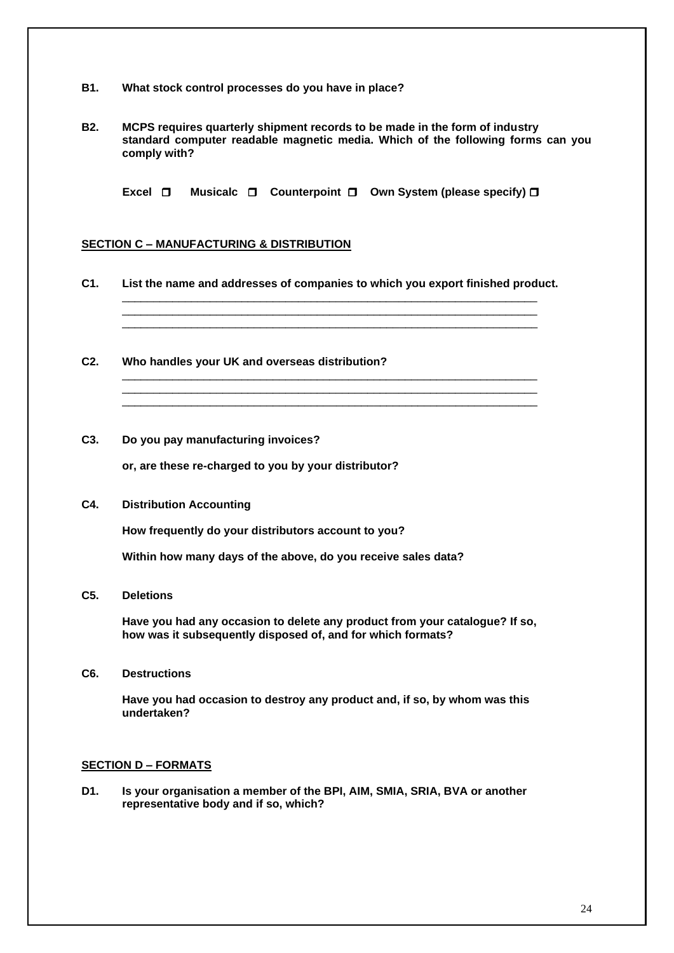- **B1. What stock control processes do you have in place?**
- **B2. MCPS requires quarterly shipment records to be made in the form of industry standard computer readable magnetic media. Which of the following forms can you comply with?**

**Excel □** Musicalc □ Counterpoint □ Own System (please specify) □

### **SECTION C – MANUFACTURING & DISTRIBUTION**

**C1. List the name and addresses of companies to which you export finished product.**

\_\_\_\_\_\_\_\_\_\_\_\_\_\_\_\_\_\_\_\_\_\_\_\_\_\_\_\_\_\_\_\_\_\_\_\_\_\_\_\_\_\_\_\_\_\_\_\_\_\_\_\_\_\_\_\_\_\_\_\_\_\_\_\_\_\_ \_\_\_\_\_\_\_\_\_\_\_\_\_\_\_\_\_\_\_\_\_\_\_\_\_\_\_\_\_\_\_\_\_\_\_\_\_\_\_\_\_\_\_\_\_\_\_\_\_\_\_\_\_\_\_\_\_\_\_\_\_\_\_\_\_\_ \_\_\_\_\_\_\_\_\_\_\_\_\_\_\_\_\_\_\_\_\_\_\_\_\_\_\_\_\_\_\_\_\_\_\_\_\_\_\_\_\_\_\_\_\_\_\_\_\_\_\_\_\_\_\_\_\_\_\_\_\_\_\_\_\_\_

\_\_\_\_\_\_\_\_\_\_\_\_\_\_\_\_\_\_\_\_\_\_\_\_\_\_\_\_\_\_\_\_\_\_\_\_\_\_\_\_\_\_\_\_\_\_\_\_\_\_\_\_\_\_\_\_\_\_\_\_\_\_\_\_\_\_ \_\_\_\_\_\_\_\_\_\_\_\_\_\_\_\_\_\_\_\_\_\_\_\_\_\_\_\_\_\_\_\_\_\_\_\_\_\_\_\_\_\_\_\_\_\_\_\_\_\_\_\_\_\_\_\_\_\_\_\_\_\_\_\_\_\_ \_\_\_\_\_\_\_\_\_\_\_\_\_\_\_\_\_\_\_\_\_\_\_\_\_\_\_\_\_\_\_\_\_\_\_\_\_\_\_\_\_\_\_\_\_\_\_\_\_\_\_\_\_\_\_\_\_\_\_\_\_\_\_\_\_\_

- **C2. Who handles your UK and overseas distribution?**
- **C3. Do you pay manufacturing invoices?**

 **or, are these re-charged to you by your distributor?**

**C4. Distribution Accounting**

 **How frequently do your distributors account to you?**

 **Within how many days of the above, do you receive sales data?**

**C5. Deletions**

 **Have you had any occasion to delete any product from your catalogue? If so, how was it subsequently disposed of, and for which formats?**

**C6. Destructions**

 **Have you had occasion to destroy any product and, if so, by whom was this undertaken?**

### **SECTION D – FORMATS**

**D1. Is your organisation a member of the BPI, AIM, SMIA, SRIA, BVA or another representative body and if so, which?**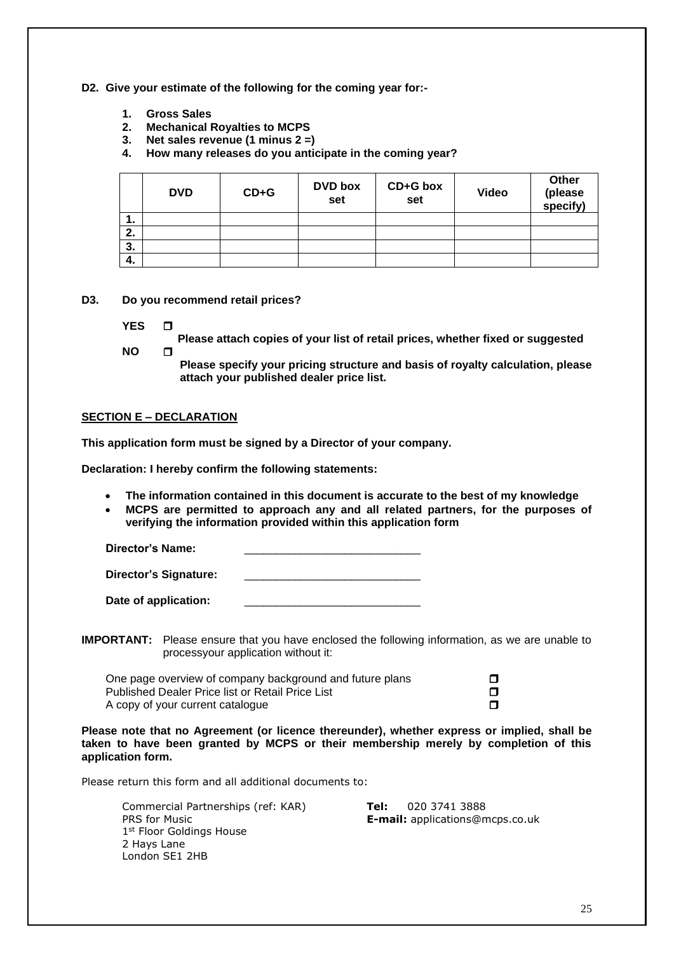### **D2. Give your estimate of the following for the coming year for:-**

- 
- **1. Gross Sales 2. Mechanical Royalties to MCPS**
- **3. Net sales revenue (1 minus 2 =)**
- **4. How many releases do you anticipate in the coming year?**

|     | <b>DVD</b> | $CD + G$ | <b>DVD</b> box<br>set | CD+G box<br>set | <b>Video</b> | Other<br>(please<br>specify) |
|-----|------------|----------|-----------------------|-----------------|--------------|------------------------------|
| . . |            |          |                       |                 |              |                              |
| 2.  |            |          |                       |                 |              |                              |
| 3.  |            |          |                       |                 |              |                              |
| 4.  |            |          |                       |                 |              |                              |

**D3. Do you recommend retail prices?**

- **YES**
- **Please attach copies of your list of retail prices, whether fixed or suggested NO**

**Please specify your pricing structure and basis of royalty calculation, please attach your published dealer price list.**

#### **SECTION E – DECLARATION**

**This application form must be signed by a Director of your company.**

**Declaration: I hereby confirm the following statements:**

- **The information contained in this document is accurate to the best of my knowledge**
- **MCPS are permitted to approach any and all related partners, for the purposes of verifying the information provided within this application form**

Director's Name:

Director's Signature:

| Date of application: |  |
|----------------------|--|
|                      |  |

**IMPORTANT:** Please ensure that you have enclosed the following information, as we are unable to processyour application without it:

One page overview of company background and future plans Published Dealer Price list or Retail Price List A copy of your current catalogue  $\Box$ 

**Please note that no Agreement (or licence thereunder), whether express or implied, shall be taken to have been granted by MCPS or their membership merely by completion of this application form.**

Please return this form and all additional documents to:

Commercial Partnerships (ref: KAR) **Tel:** 020 3741 3888 PRS for Music **E-mail:** applications@mcps.co.uk 1st Floor Goldings House 2 Hays Lane London SE1 2HB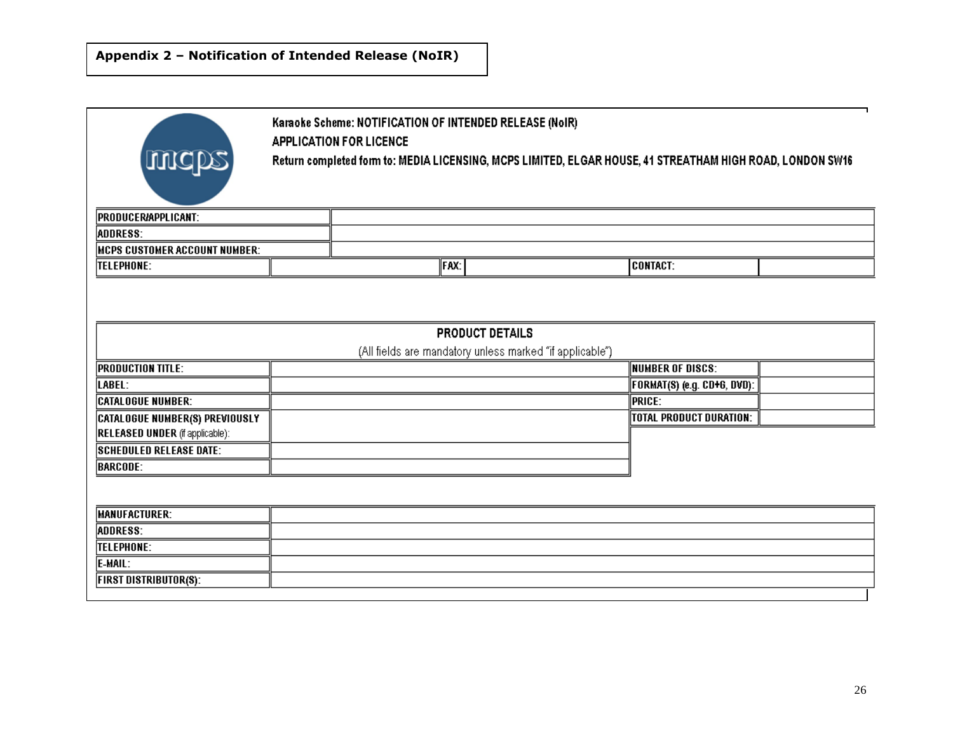| mcps                                  | Karaoke Scheme: NOTIFICATION OF INTENDED RELEASE (NoIR)<br><b>APPLICATION FOR LICENCE</b><br>Return completed form to: MEDIA LICENSING, MCPS LIMITED, ELGAR HOUSE, 41 STREATHAM HIGH ROAD, LONDON SW16 |                                                                                    |                             |  |  |  |  |  |  |  |  |
|---------------------------------------|--------------------------------------------------------------------------------------------------------------------------------------------------------------------------------------------------------|------------------------------------------------------------------------------------|-----------------------------|--|--|--|--|--|--|--|--|
| <b>PRODUCER/APPLICANT:</b>            |                                                                                                                                                                                                        |                                                                                    |                             |  |  |  |  |  |  |  |  |
| ADDRESS:                              |                                                                                                                                                                                                        |                                                                                    |                             |  |  |  |  |  |  |  |  |
| MCPS CUSTOMER ACCOUNT NUMBER:         |                                                                                                                                                                                                        |                                                                                    |                             |  |  |  |  |  |  |  |  |
| <b>TELEPHONE:</b>                     |                                                                                                                                                                                                        |                                                                                    |                             |  |  |  |  |  |  |  |  |
|                                       |                                                                                                                                                                                                        | <b>PRODUCT DETAILS</b><br>(All fields are mandatory unless marked "if applicable") |                             |  |  |  |  |  |  |  |  |
| <b>PRODUCTION TITLE:</b>              |                                                                                                                                                                                                        |                                                                                    | <b>NUMBER OF DISCS:</b>     |  |  |  |  |  |  |  |  |
| LABEL:                                |                                                                                                                                                                                                        |                                                                                    | FORMAT(S) (e.g. CD+G, DVD): |  |  |  |  |  |  |  |  |
| <b>CATALOGUE NUMBER:</b>              |                                                                                                                                                                                                        |                                                                                    | <b>PRICE:</b>               |  |  |  |  |  |  |  |  |
| <b>CATALOGUE NUMBER(S) PREVIOUSLY</b> |                                                                                                                                                                                                        |                                                                                    |                             |  |  |  |  |  |  |  |  |
|                                       |                                                                                                                                                                                                        |                                                                                    |                             |  |  |  |  |  |  |  |  |
| <b>SCHEDULED RELEASE DATE:</b>        |                                                                                                                                                                                                        |                                                                                    |                             |  |  |  |  |  |  |  |  |
| <b>BARCODE:</b>                       |                                                                                                                                                                                                        |                                                                                    |                             |  |  |  |  |  |  |  |  |
|                                       |                                                                                                                                                                                                        |                                                                                    |                             |  |  |  |  |  |  |  |  |
| <b>MANUFACTURER:</b>                  |                                                                                                                                                                                                        |                                                                                    |                             |  |  |  |  |  |  |  |  |
| <b>ADDRESS:</b>                       |                                                                                                                                                                                                        |                                                                                    |                             |  |  |  |  |  |  |  |  |
| <b>TELEPHONE:</b>                     |                                                                                                                                                                                                        |                                                                                    |                             |  |  |  |  |  |  |  |  |
| E-MAIL:                               |                                                                                                                                                                                                        |                                                                                    |                             |  |  |  |  |  |  |  |  |
| <b>FIRST DISTRIBUTOR(S):</b>          | <b>CONTACT:</b><br>FAX:<br><b>TOTAL PRODUCT DURATION:</b><br><b>RELEASED UNDER</b> (if applicable):                                                                                                    |                                                                                    |                             |  |  |  |  |  |  |  |  |
|                                       |                                                                                                                                                                                                        |                                                                                    |                             |  |  |  |  |  |  |  |  |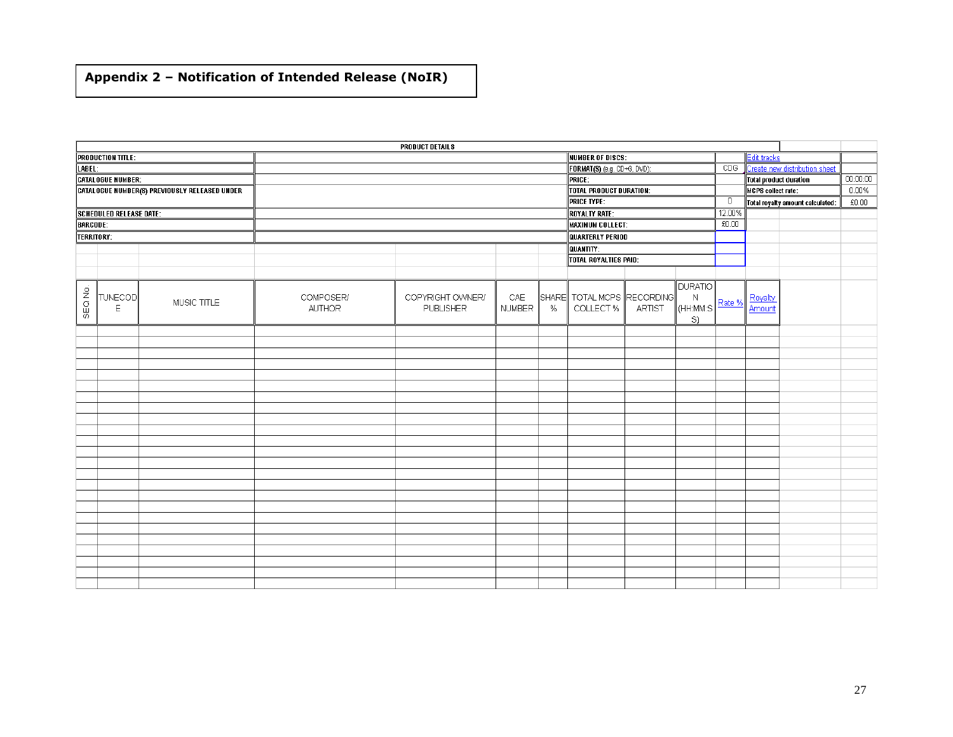# **Appendix 2 – Notification of Intended Release (NoIR)**

|                 |                                |                                                      |               | <b>PRODUCT DETAILS</b> |               |      |                             |        |                |        |                        |                                  |               |
|-----------------|--------------------------------|------------------------------------------------------|---------------|------------------------|---------------|------|-----------------------------|--------|----------------|--------|------------------------|----------------------------------|---------------|
|                 | <b>PRODUCTION TITLE:</b>       |                                                      |               |                        |               |      | <b>NUMBER OF DISCS:</b>     |        |                |        | <b>Edit tracks</b>     |                                  |               |
| LABEL:          |                                |                                                      |               |                        |               |      | FORMAT(S) (e.g. CD+G, DVD): |        |                | CDS    |                        | Create new distribution sheet    |               |
|                 | <b>CATALOGUE NUMBER:</b>       |                                                      |               |                        |               |      | PRICE:                      |        |                |        | Total product duration |                                  | 00:00:00      |
|                 |                                | <b>CATALOGUE NUMBER(S) PREVIOUSLY RELEASED UNDER</b> |               |                        |               |      | TOTAL PRODUCT DURATION:     |        |                |        | MCPS collect rate:     |                                  | $0.00\%$      |
|                 |                                |                                                      |               |                        |               |      | <b>PRICE TYPE:</b>          |        |                | D      |                        | Total royalty amount calculated: | $\pounds0.00$ |
|                 | <b>SCHEDULED RELEASE DATE:</b> |                                                      |               |                        |               |      | ROYALTY RATE:               |        |                | 12.00% |                        |                                  |               |
| <b>BARCODE:</b> |                                |                                                      |               |                        |               |      | <b>MAXIMUM COLLECT:</b>     |        |                | £0.00  |                        |                                  |               |
| TERRITORY:      |                                |                                                      |               |                        |               |      | QUARTERLY PERIOD            |        |                |        |                        |                                  |               |
|                 |                                |                                                      |               |                        |               |      | QUANTITY:                   |        |                |        |                        |                                  |               |
|                 |                                |                                                      |               |                        |               |      | TOTAL ROYALTIES PAID:       |        |                |        |                        |                                  |               |
|                 |                                |                                                      |               |                        |               |      |                             |        |                |        |                        |                                  |               |
|                 |                                |                                                      |               |                        |               |      |                             |        | <b>DURATIO</b> |        |                        |                                  |               |
|                 | <b>TUNECOD</b>                 |                                                      | COMPOSER/     | COPYRIGHT OWNER/       | CAE           |      | SHARE TOTAL MCPS RECORDING  |        | $\mathbb N$    |        | Royalty                |                                  |               |
| SEQ No.         | E                              | MUSIC TITLE                                          | <b>AUTHOR</b> | PUBLISHER              | <b>NUMBER</b> | $\%$ | COLLECT %                   | ARTIST | $\ $ (HH:MM:S  | Rate % | Amount                 |                                  |               |
|                 |                                |                                                      |               |                        |               |      |                             |        | S)             |        |                        |                                  |               |
|                 |                                |                                                      |               |                        |               |      |                             |        |                |        |                        |                                  |               |
|                 |                                |                                                      |               |                        |               |      |                             |        |                |        |                        |                                  |               |
|                 |                                |                                                      |               |                        |               |      |                             |        |                |        |                        |                                  |               |
|                 |                                |                                                      |               |                        |               |      |                             |        |                |        |                        |                                  |               |
|                 |                                |                                                      |               |                        |               |      |                             |        |                |        |                        |                                  |               |
|                 |                                |                                                      |               |                        |               |      |                             |        |                |        |                        |                                  |               |
|                 |                                |                                                      |               |                        |               |      |                             |        |                |        |                        |                                  |               |
|                 |                                |                                                      |               |                        |               |      |                             |        |                |        |                        |                                  |               |
|                 |                                |                                                      |               |                        |               |      |                             |        |                |        |                        |                                  |               |
|                 |                                |                                                      |               |                        |               |      |                             |        |                |        |                        |                                  |               |
|                 |                                |                                                      |               |                        |               |      |                             |        |                |        |                        |                                  |               |
|                 |                                |                                                      |               |                        |               |      |                             |        |                |        |                        |                                  |               |
|                 |                                |                                                      |               |                        |               |      |                             |        |                |        |                        |                                  |               |
|                 |                                |                                                      |               |                        |               |      |                             |        |                |        |                        |                                  |               |
|                 |                                |                                                      |               |                        |               |      |                             |        |                |        |                        |                                  |               |
|                 |                                |                                                      |               |                        |               |      |                             |        |                |        |                        |                                  |               |
|                 |                                |                                                      |               |                        |               |      |                             |        |                |        |                        |                                  |               |
|                 |                                |                                                      |               |                        |               |      |                             |        |                |        |                        |                                  |               |
|                 |                                |                                                      |               |                        |               |      |                             |        |                |        |                        |                                  |               |
|                 |                                |                                                      |               |                        |               |      |                             |        |                |        |                        |                                  |               |
|                 |                                |                                                      |               |                        |               |      |                             |        |                |        |                        |                                  |               |
|                 |                                |                                                      |               |                        |               |      |                             |        |                |        |                        |                                  |               |
|                 |                                |                                                      |               |                        |               |      |                             |        |                |        |                        |                                  |               |